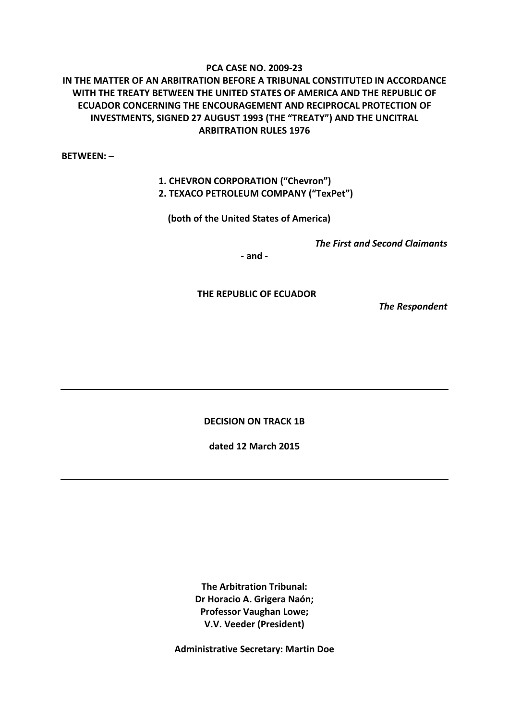## **PCA CASE NO. 2009-23**

# **IN THE MATTER OF AN ARBITRATION BEFORE A TRIBUNAL CONSTITUTED IN ACCORDANCE WITH THE TREATY BETWEEN THE UNITED STATES OF AMERICA AND THE REPUBLIC OF ECUADOR CONCERNING THE ENCOURAGEMENT AND RECIPROCAL PROTECTION OF INVESTMENTS, SIGNED 27 AUGUST 1993 (THE "TREATY") AND THE UNCITRAL ARBITRATION RULES 1976**

**BETWEEN: –**

# **1. CHEVRON CORPORATION ("Chevron") 2. TEXACO PETROLEUM COMPANY ("TexPet")**

 **(both of the United States of America)**

*The First and Second Claimants*

**- and -**

 **THE REPUBLIC OF ECUADOR** 

*The Respondent*

**DECISION ON TRACK 1B**

**dated 12 March 2015**

**The Arbitration Tribunal: Dr Horacio A. Grigera Naón; Professor Vaughan Lowe; V.V. Veeder (President)**

**Administrative Secretary: Martin Doe**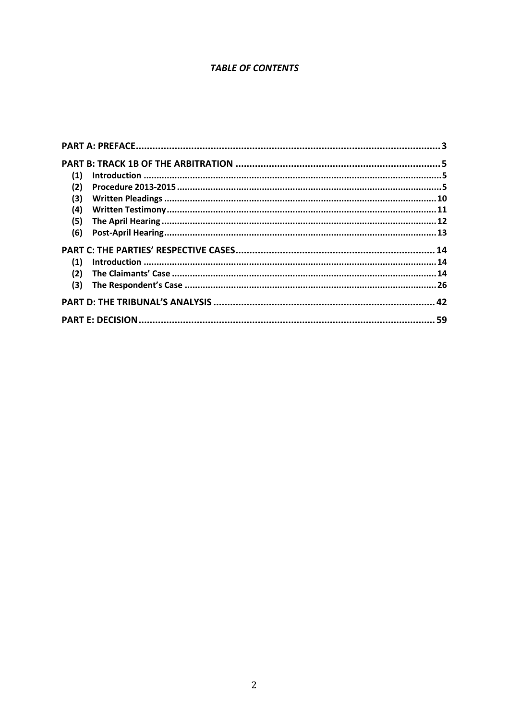# **TABLE OF CONTENTS**

| (1) |  |
|-----|--|
| (2) |  |
| (3) |  |
| (4) |  |
| (5) |  |
| (6) |  |
|     |  |
| (1) |  |
| (2) |  |
| (3) |  |
|     |  |
|     |  |
|     |  |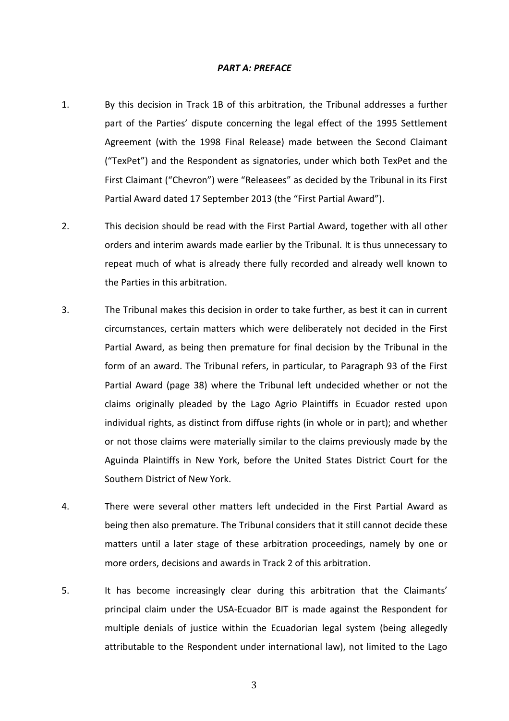#### *PART A: PREFACE*

- 1. By this decision in Track 1B of this arbitration, the Tribunal addresses a further part of the Parties' dispute concerning the legal effect of the 1995 Settlement Agreement (with the 1998 Final Release) made between the Second Claimant ("TexPet") and the Respondent as signatories, under which both TexPet and the First Claimant ("Chevron") were "Releasees" as decided by the Tribunal in its First Partial Award dated 17 September 2013 (the "First Partial Award").
- 2. This decision should be read with the First Partial Award, together with all other orders and interim awards made earlier by the Tribunal. It is thus unnecessary to repeat much of what is already there fully recorded and already well known to the Parties in this arbitration.
- 3. The Tribunal makes this decision in order to take further, as best it can in current circumstances, certain matters which were deliberately not decided in the First Partial Award, as being then premature for final decision by the Tribunal in the form of an award. The Tribunal refers, in particular, to Paragraph 93 of the First Partial Award (page 38) where the Tribunal left undecided whether or not the claims originally pleaded by the Lago Agrio Plaintiffs in Ecuador rested upon individual rights, as distinct from diffuse rights (in whole or in part); and whether or not those claims were materially similar to the claims previously made by the Aguinda Plaintiffs in New York, before the United States District Court for the Southern District of New York.
- 4. There were several other matters left undecided in the First Partial Award as being then also premature. The Tribunal considers that it still cannot decide these matters until a later stage of these arbitration proceedings, namely by one or more orders, decisions and awards in Track 2 of this arbitration.
- 5. It has become increasingly clear during this arbitration that the Claimants' principal claim under the USA-Ecuador BIT is made against the Respondent for multiple denials of justice within the Ecuadorian legal system (being allegedly attributable to the Respondent under international law), not limited to the Lago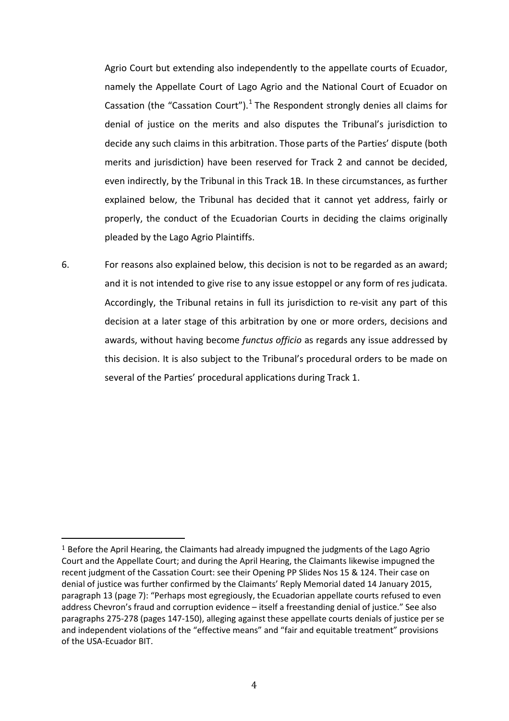Agrio Court but extending also independently to the appellate courts of Ecuador, namely the Appellate Court of Lago Agrio and the National Court of Ecuador on Cassation (the "Cassation Court"). $1$  The Respondent strongly denies all claims for denial of justice on the merits and also disputes the Tribunal's jurisdiction to decide any such claims in this arbitration. Those parts of the Parties' dispute (both merits and jurisdiction) have been reserved for Track 2 and cannot be decided, even indirectly, by the Tribunal in this Track 1B. In these circumstances, as further explained below, the Tribunal has decided that it cannot yet address, fairly or properly, the conduct of the Ecuadorian Courts in deciding the claims originally pleaded by the Lago Agrio Plaintiffs.

6. For reasons also explained below, this decision is not to be regarded as an award; and it is not intended to give rise to any issue estoppel or any form of res judicata. Accordingly, the Tribunal retains in full its jurisdiction to re-visit any part of this decision at a later stage of this arbitration by one or more orders, decisions and awards, without having become *functus officio* as regards any issue addressed by this decision. It is also subject to the Tribunal's procedural orders to be made on several of the Parties' procedural applications during Track 1.

<sup>&</sup>lt;sup>1</sup> Before the April Hearing, the Claimants had already impugned the judgments of the Lago Agrio Court and the Appellate Court; and during the April Hearing, the Claimants likewise impugned the recent judgment of the Cassation Court: see their Opening PP Slides Nos 15 & 124. Their case on denial of justice was further confirmed by the Claimants' Reply Memorial dated 14 January 2015, paragraph 13 (page 7): "Perhaps most egregiously, the Ecuadorian appellate courts refused to even address Chevron's fraud and corruption evidence – itself a freestanding denial of justice." See also paragraphs 275-278 (pages 147-150), alleging against these appellate courts denials of justice per se and independent violations of the "effective means" and "fair and equitable treatment" provisions of the USA-Ecuador BIT. j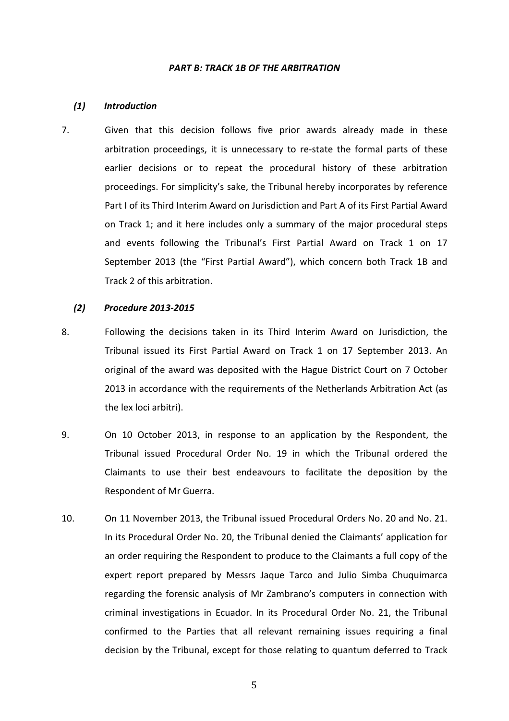#### *PART B: TRACK 1B OF THE ARBITRATION*

#### *(1) Introduction*

7. Given that this decision follows five prior awards already made in these arbitration proceedings, it is unnecessary to re-state the formal parts of these earlier decisions or to repeat the procedural history of these arbitration proceedings. For simplicity's sake, the Tribunal hereby incorporates by reference Part I of its Third Interim Award on Jurisdiction and Part A of its First Partial Award on Track 1; and it here includes only a summary of the major procedural steps and events following the Tribunal's First Partial Award on Track 1 on 17 September 2013 (the "First Partial Award"), which concern both Track 1B and Track 2 of this arbitration.

#### *(2) Procedure 2013-2015*

- 8. Following the decisions taken in its Third Interim Award on Jurisdiction, the Tribunal issued its First Partial Award on Track 1 on 17 September 2013. An original of the award was deposited with the Hague District Court on 7 October 2013 in accordance with the requirements of the Netherlands Arbitration Act (as the lex loci arbitri).
- 9. On 10 October 2013, in response to an application by the Respondent, the Tribunal issued Procedural Order No. 19 in which the Tribunal ordered the Claimants to use their best endeavours to facilitate the deposition by the Respondent of Mr Guerra.
- 10. On 11 November 2013, the Tribunal issued Procedural Orders No. 20 and No. 21. In its Procedural Order No. 20, the Tribunal denied the Claimants' application for an order requiring the Respondent to produce to the Claimants a full copy of the expert report prepared by Messrs Jaque Tarco and Julio Simba Chuquimarca regarding the forensic analysis of Mr Zambrano's computers in connection with criminal investigations in Ecuador. In its Procedural Order No. 21, the Tribunal confirmed to the Parties that all relevant remaining issues requiring a final decision by the Tribunal, except for those relating to quantum deferred to Track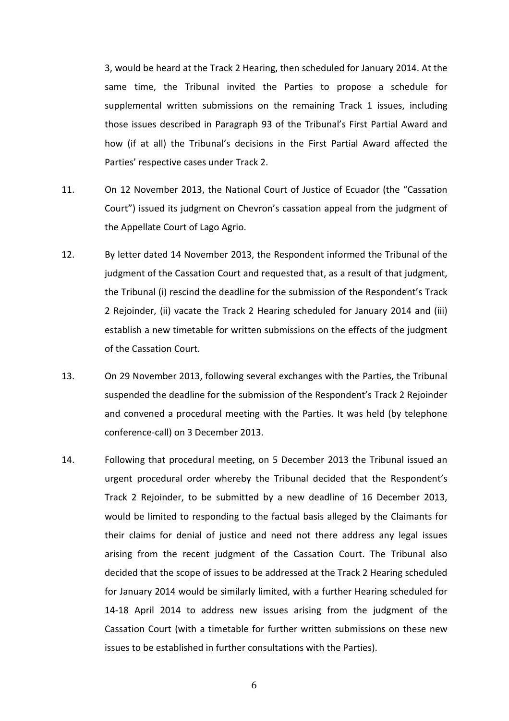3, would be heard at the Track 2 Hearing, then scheduled for January 2014. At the same time, the Tribunal invited the Parties to propose a schedule for supplemental written submissions on the remaining Track 1 issues, including those issues described in Paragraph 93 of the Tribunal's First Partial Award and how (if at all) the Tribunal's decisions in the First Partial Award affected the Parties' respective cases under Track 2.

- 11. On 12 November 2013, the National Court of Justice of Ecuador (the "Cassation Court") issued its judgment on Chevron's cassation appeal from the judgment of the Appellate Court of Lago Agrio.
- 12. By letter dated 14 November 2013, the Respondent informed the Tribunal of the judgment of the Cassation Court and requested that, as a result of that judgment, the Tribunal (i) rescind the deadline for the submission of the Respondent's Track 2 Rejoinder, (ii) vacate the Track 2 Hearing scheduled for January 2014 and (iii) establish a new timetable for written submissions on the effects of the judgment of the Cassation Court.
- 13. On 29 November 2013, following several exchanges with the Parties, the Tribunal suspended the deadline for the submission of the Respondent's Track 2 Rejoinder and convened a procedural meeting with the Parties. It was held (by telephone conference-call) on 3 December 2013.
- 14. Following that procedural meeting, on 5 December 2013 the Tribunal issued an urgent procedural order whereby the Tribunal decided that the Respondent's Track 2 Rejoinder, to be submitted by a new deadline of 16 December 2013, would be limited to responding to the factual basis alleged by the Claimants for their claims for denial of justice and need not there address any legal issues arising from the recent judgment of the Cassation Court. The Tribunal also decided that the scope of issues to be addressed at the Track 2 Hearing scheduled for January 2014 would be similarly limited, with a further Hearing scheduled for 14-18 April 2014 to address new issues arising from the judgment of the Cassation Court (with a timetable for further written submissions on these new issues to be established in further consultations with the Parties).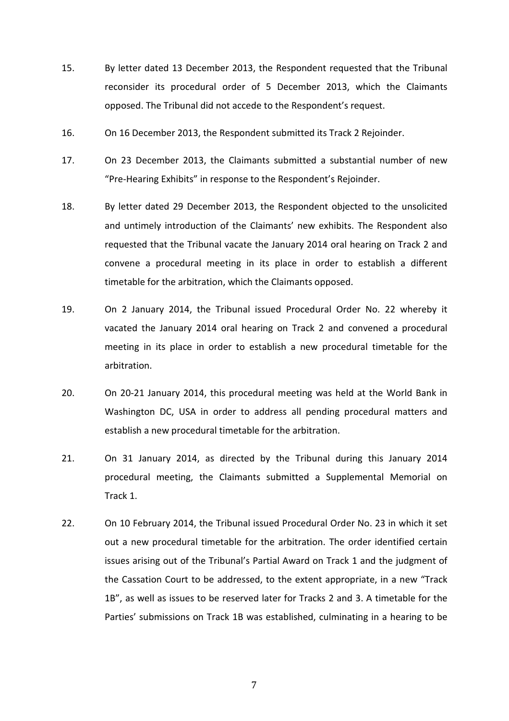- 15. By letter dated 13 December 2013, the Respondent requested that the Tribunal reconsider its procedural order of 5 December 2013, which the Claimants opposed. The Tribunal did not accede to the Respondent's request.
- 16. On 16 December 2013, the Respondent submitted its Track 2 Rejoinder.
- 17. On 23 December 2013, the Claimants submitted a substantial number of new "Pre-Hearing Exhibits" in response to the Respondent's Rejoinder.
- 18. By letter dated 29 December 2013, the Respondent objected to the unsolicited and untimely introduction of the Claimants' new exhibits. The Respondent also requested that the Tribunal vacate the January 2014 oral hearing on Track 2 and convene a procedural meeting in its place in order to establish a different timetable for the arbitration, which the Claimants opposed.
- 19. On 2 January 2014, the Tribunal issued Procedural Order No. 22 whereby it vacated the January 2014 oral hearing on Track 2 and convened a procedural meeting in its place in order to establish a new procedural timetable for the arbitration.
- 20. On 20-21 January 2014, this procedural meeting was held at the World Bank in Washington DC, USA in order to address all pending procedural matters and establish a new procedural timetable for the arbitration.
- 21. On 31 January 2014, as directed by the Tribunal during this January 2014 procedural meeting, the Claimants submitted a Supplemental Memorial on Track 1.
- 22. On 10 February 2014, the Tribunal issued Procedural Order No. 23 in which it set out a new procedural timetable for the arbitration. The order identified certain issues arising out of the Tribunal's Partial Award on Track 1 and the judgment of the Cassation Court to be addressed, to the extent appropriate, in a new "Track 1B", as well as issues to be reserved later for Tracks 2 and 3. A timetable for the Parties' submissions on Track 1B was established, culminating in a hearing to be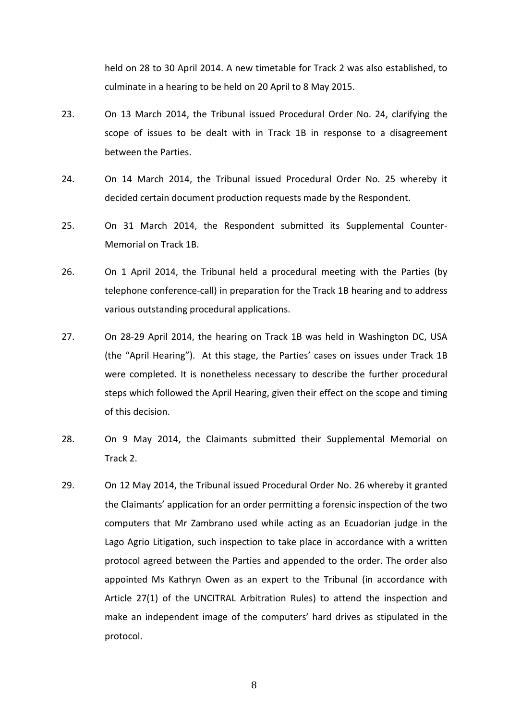held on 28 to 30 April 2014. A new timetable for Track 2 was also established, to culminate in a hearing to be held on 20 April to 8 May 2015.

- 23. On 13 March 2014, the Tribunal issued Procedural Order No. 24, clarifying the scope of issues to be dealt with in Track 1B in response to a disagreement between the Parties.
- 24. On 14 March 2014, the Tribunal issued Procedural Order No. 25 whereby it decided certain document production requests made by the Respondent.
- 25. On 31 March 2014, the Respondent submitted its Supplemental Counter-Memorial on Track 1B.
- 26. On 1 April 2014, the Tribunal held a procedural meeting with the Parties (by telephone conference-call) in preparation for the Track 1B hearing and to address various outstanding procedural applications.
- 27. On 28-29 April 2014, the hearing on Track 1B was held in Washington DC, USA (the "April Hearing"). At this stage, the Parties' cases on issues under Track 1B were completed. It is nonetheless necessary to describe the further procedural steps which followed the April Hearing, given their effect on the scope and timing of this decision.
- 28. On 9 May 2014, the Claimants submitted their Supplemental Memorial on Track 2.
- 29. On 12 May 2014, the Tribunal issued Procedural Order No. 26 whereby it granted the Claimants' application for an order permitting a forensic inspection of the two computers that Mr Zambrano used while acting as an Ecuadorian judge in the Lago Agrio Litigation, such inspection to take place in accordance with a written protocol agreed between the Parties and appended to the order. The order also appointed Ms Kathryn Owen as an expert to the Tribunal (in accordance with Article 27(1) of the UNCITRAL Arbitration Rules) to attend the inspection and make an independent image of the computers' hard drives as stipulated in the protocol.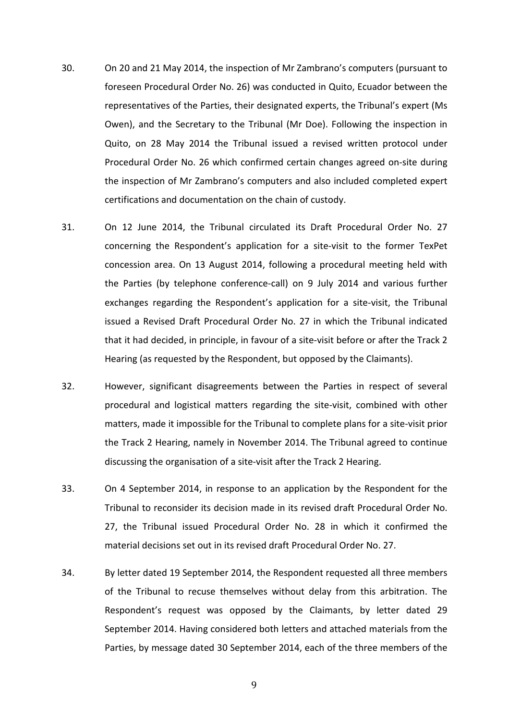- 30. On 20 and 21 May 2014, the inspection of Mr Zambrano's computers (pursuant to foreseen Procedural Order No. 26) was conducted in Quito, Ecuador between the representatives of the Parties, their designated experts, the Tribunal's expert (Ms Owen), and the Secretary to the Tribunal (Mr Doe). Following the inspection in Quito, on 28 May 2014 the Tribunal issued a revised written protocol under Procedural Order No. 26 which confirmed certain changes agreed on-site during the inspection of Mr Zambrano's computers and also included completed expert certifications and documentation on the chain of custody.
- 31. On 12 June 2014, the Tribunal circulated its Draft Procedural Order No. 27 concerning the Respondent's application for a site-visit to the former TexPet concession area. On 13 August 2014, following a procedural meeting held with the Parties (by telephone conference-call) on 9 July 2014 and various further exchanges regarding the Respondent's application for a site-visit, the Tribunal issued a Revised Draft Procedural Order No. 27 in which the Tribunal indicated that it had decided, in principle, in favour of a site-visit before or after the Track 2 Hearing (as requested by the Respondent, but opposed by the Claimants).
- 32. However, significant disagreements between the Parties in respect of several procedural and logistical matters regarding the site-visit, combined with other matters, made it impossible for the Tribunal to complete plans for a site-visit prior the Track 2 Hearing, namely in November 2014. The Tribunal agreed to continue discussing the organisation of a site-visit after the Track 2 Hearing.
- 33. On 4 September 2014, in response to an application by the Respondent for the Tribunal to reconsider its decision made in its revised draft Procedural Order No. 27, the Tribunal issued Procedural Order No. 28 in which it confirmed the material decisions set out in its revised draft Procedural Order No. 27.
- 34. By letter dated 19 September 2014, the Respondent requested all three members of the Tribunal to recuse themselves without delay from this arbitration. The Respondent's request was opposed by the Claimants, by letter dated 29 September 2014. Having considered both letters and attached materials from the Parties, by message dated 30 September 2014, each of the three members of the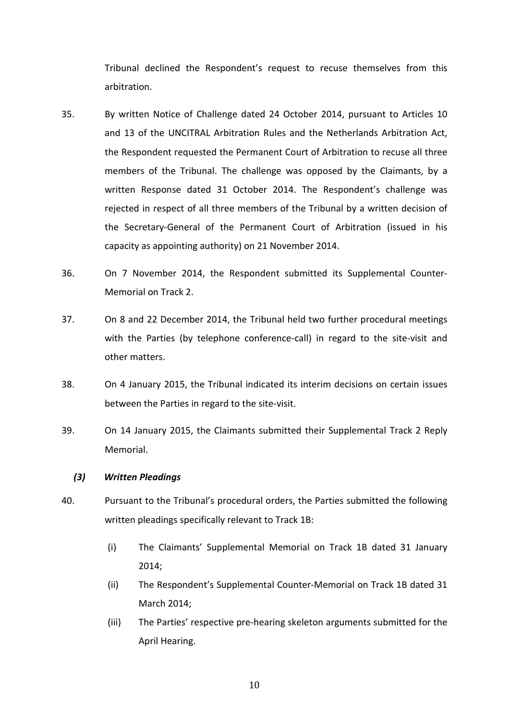Tribunal declined the Respondent's request to recuse themselves from this arbitration.

- 35. By written Notice of Challenge dated 24 October 2014, pursuant to Articles 10 and 13 of the UNCITRAL Arbitration Rules and the Netherlands Arbitration Act, the Respondent requested the Permanent Court of Arbitration to recuse all three members of the Tribunal. The challenge was opposed by the Claimants, by a written Response dated 31 October 2014. The Respondent's challenge was rejected in respect of all three members of the Tribunal by a written decision of the Secretary-General of the Permanent Court of Arbitration (issued in his capacity as appointing authority) on 21 November 2014.
- 36. On 7 November 2014, the Respondent submitted its Supplemental Counter-Memorial on Track 2.
- 37. On 8 and 22 December 2014, the Tribunal held two further procedural meetings with the Parties (by telephone conference-call) in regard to the site-visit and other matters.
- 38. On 4 January 2015, the Tribunal indicated its interim decisions on certain issues between the Parties in regard to the site-visit.
- 39. On 14 January 2015, the Claimants submitted their Supplemental Track 2 Reply Memorial.

### *(3) Written Pleadings*

- 40. Pursuant to the Tribunal's procedural orders, the Parties submitted the following written pleadings specifically relevant to Track 1B:
	- (i) The Claimants' Supplemental Memorial on Track 1B dated 31 January 2014;
	- (ii) The Respondent's Supplemental Counter-Memorial on Track 1B dated 31 March 2014;
	- (iii) The Parties' respective pre-hearing skeleton arguments submitted for the April Hearing.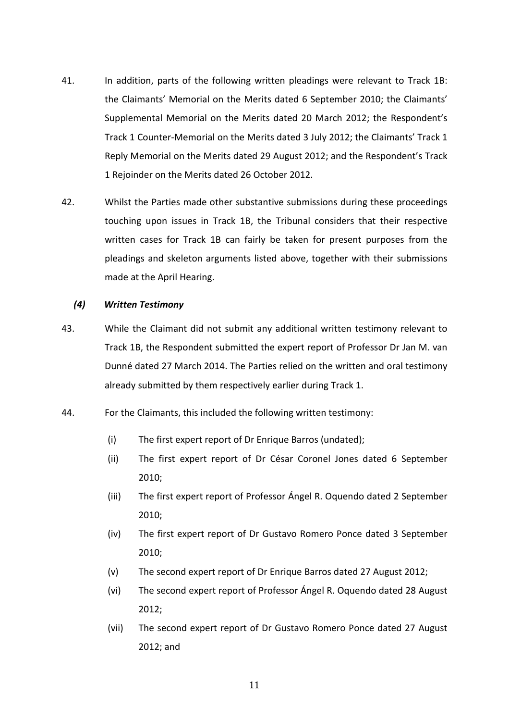- 41. In addition, parts of the following written pleadings were relevant to Track 1B: the Claimants' Memorial on the Merits dated 6 September 2010; the Claimants' Supplemental Memorial on the Merits dated 20 March 2012; the Respondent's Track 1 Counter-Memorial on the Merits dated 3 July 2012; the Claimants' Track 1 Reply Memorial on the Merits dated 29 August 2012; and the Respondent's Track 1 Rejoinder on the Merits dated 26 October 2012.
- 42. Whilst the Parties made other substantive submissions during these proceedings touching upon issues in Track 1B, the Tribunal considers that their respective written cases for Track 1B can fairly be taken for present purposes from the pleadings and skeleton arguments listed above, together with their submissions made at the April Hearing.

### *(4) Written Testimony*

- 43. While the Claimant did not submit any additional written testimony relevant to Track 1B, the Respondent submitted the expert report of Professor Dr Jan M. van Dunné dated 27 March 2014. The Parties relied on the written and oral testimony already submitted by them respectively earlier during Track 1.
- 44. For the Claimants, this included the following written testimony:
	- (i) The first expert report of Dr Enrique Barros (undated);
	- (ii) The first expert report of Dr César Coronel Jones dated 6 September 2010;
	- (iii) The first expert report of Professor Ángel R. Oquendo dated 2 September 2010;
	- (iv) The first expert report of Dr Gustavo Romero Ponce dated 3 September 2010;
	- (v) The second expert report of Dr Enrique Barros dated 27 August 2012;
	- (vi) The second expert report of Professor Ángel R. Oquendo dated 28 August 2012;
	- (vii) The second expert report of Dr Gustavo Romero Ponce dated 27 August 2012; and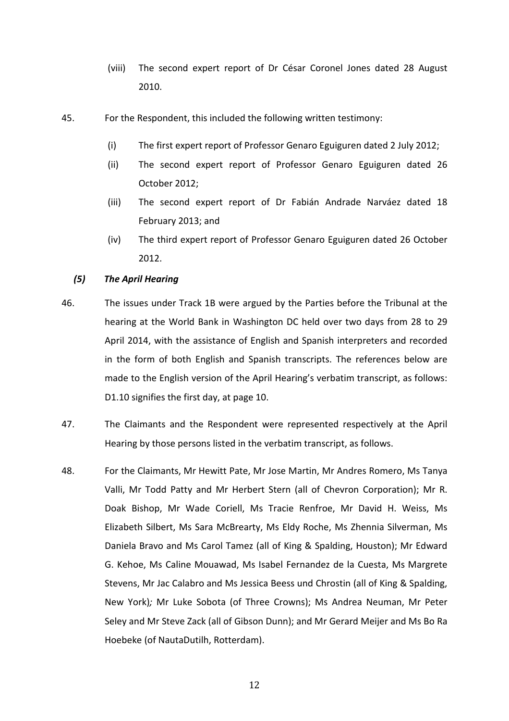- (viii) The second expert report of Dr César Coronel Jones dated 28 August 2010.
- 45. For the Respondent, this included the following written testimony:
	- (i) The first expert report of Professor Genaro Eguiguren dated 2 July 2012;
	- (ii) The second expert report of Professor Genaro Eguiguren dated 26 October 2012;
	- (iii) The second expert report of Dr Fabián Andrade Narváez dated 18 February 2013; and
	- (iv) The third expert report of Professor Genaro Eguiguren dated 26 October 2012.

## *(5) The April Hearing*

- 46. The issues under Track 1B were argued by the Parties before the Tribunal at the hearing at the World Bank in Washington DC held over two days from 28 to 29 April 2014, with the assistance of English and Spanish interpreters and recorded in the form of both English and Spanish transcripts. The references below are made to the English version of the April Hearing's verbatim transcript, as follows: D1.10 signifies the first day, at page 10.
- 47. The Claimants and the Respondent were represented respectively at the April Hearing by those persons listed in the verbatim transcript, as follows.
- 48. For the Claimants, Mr Hewitt Pate, Mr Jose Martin, Mr Andres Romero, Ms Tanya Valli, Mr Todd Patty and Mr Herbert Stern (all of Chevron Corporation); Mr R. Doak Bishop, Mr Wade Coriell, Ms Tracie Renfroe, Mr David H. Weiss, Ms Elizabeth Silbert, Ms Sara McBrearty, Ms Eldy Roche, Ms Zhennia Silverman, Ms Daniela Bravo and Ms Carol Tamez (all of King & Spalding, Houston); Mr Edward G. Kehoe, Ms Caline Mouawad, Ms Isabel Fernandez de la Cuesta, Ms Margrete Stevens, Mr Jac Calabro and Ms Jessica Beess und Chrostin (all of King & Spalding, New York)*;* Mr Luke Sobota (of Three Crowns); Ms Andrea Neuman, Mr Peter Seley and Mr Steve Zack (all of Gibson Dunn); and Mr Gerard Meijer and Ms Bo Ra Hoebeke (of NautaDutilh, Rotterdam).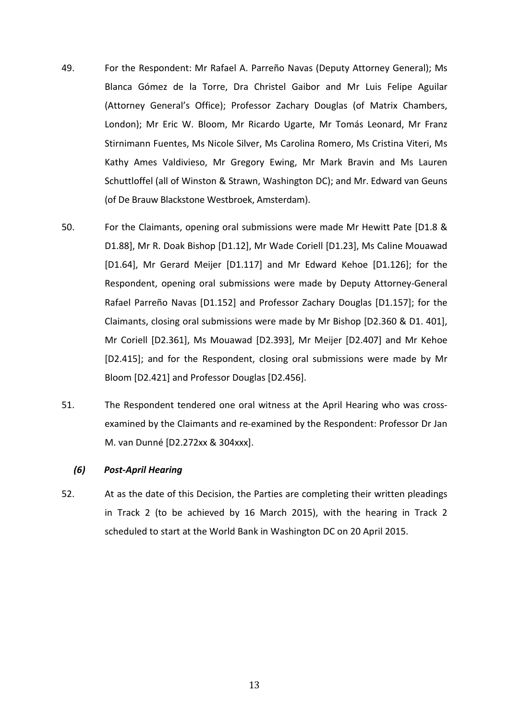- 49. For the Respondent: Mr Rafael A. Parreño Navas (Deputy Attorney General); Ms Blanca Gómez de la Torre, Dra Christel Gaibor and Mr Luis Felipe Aguilar (Attorney General's Office); Professor Zachary Douglas (of Matrix Chambers, London); Mr Eric W. Bloom, Mr Ricardo Ugarte, Mr Tomás Leonard, Mr Franz Stirnimann Fuentes, Ms Nicole Silver, Ms Carolina Romero, Ms Cristina Viteri, Ms Kathy Ames Valdivieso, Mr Gregory Ewing, Mr Mark Bravin and Ms Lauren Schuttloffel (all of Winston & Strawn, Washington DC); and Mr. Edward van Geuns (of De Brauw Blackstone Westbroek, Amsterdam).
- 50. For the Claimants, opening oral submissions were made Mr Hewitt Pate [D1.8 & D1.88], Mr R. Doak Bishop [D1.12], Mr Wade Coriell [D1.23], Ms Caline Mouawad [D1.64], Mr Gerard Meijer [D1.117] and Mr Edward Kehoe [D1.126]; for the Respondent, opening oral submissions were made by Deputy Attorney-General Rafael Parreño Navas [D1.152] and Professor Zachary Douglas [D1.157]; for the Claimants, closing oral submissions were made by Mr Bishop [D2.360 & D1. 401], Mr Coriell [D2.361], Ms Mouawad [D2.393], Mr Meijer [D2.407] and Mr Kehoe [D2.415]; and for the Respondent, closing oral submissions were made by Mr Bloom [D2.421] and Professor Douglas [D2.456].
- 51. The Respondent tendered one oral witness at the April Hearing who was crossexamined by the Claimants and re-examined by the Respondent: Professor Dr Jan M. van Dunné [D2.272xx & 304xxx].

# *(6) Post-April Hearing*

52. At as the date of this Decision, the Parties are completing their written pleadings in Track 2 (to be achieved by 16 March 2015), with the hearing in Track 2 scheduled to start at the World Bank in Washington DC on 20 April 2015.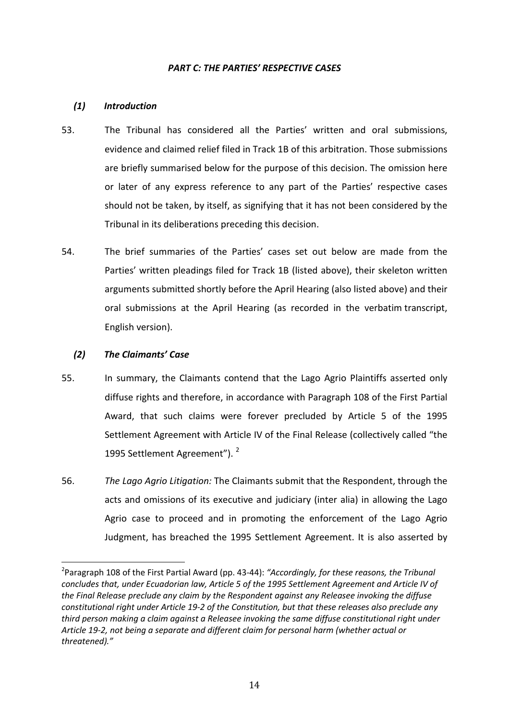# *PART C: THE PARTIES' RESPECTIVE CASES*

# *(1) Introduction*

- 53. The Tribunal has considered all the Parties' written and oral submissions, evidence and claimed relief filed in Track 1B of this arbitration. Those submissions are briefly summarised below for the purpose of this decision. The omission here or later of any express reference to any part of the Parties' respective cases should not be taken, by itself, as signifying that it has not been considered by the Tribunal in its deliberations preceding this decision.
- 54. The brief summaries of the Parties' cases set out below are made from the Parties' written pleadings filed for Track 1B (listed above), their skeleton written arguments submitted shortly before the April Hearing (also listed above) and their oral submissions at the April Hearing (as recorded in the verbatim transcript, English version).

## *(2) The Claimants' Case*

- 55. In summary, the Claimants contend that the Lago Agrio Plaintiffs asserted only diffuse rights and therefore, in accordance with Paragraph 108 of the First Partial Award, that such claims were forever precluded by Article 5 of the 1995 Settlement Agreement with Article IV of the Final Release (collectively called "the 1995 Settlement Agreement").<sup>2</sup>
- 56. *The Lago Agrio Litigation:* The Claimants submit that the Respondent, through the acts and omissions of its executive and judiciary (inter alia) in allowing the Lago Agrio case to proceed and in promoting the enforcement of the Lago Agrio Judgment, has breached the 1995 Settlement Agreement. It is also asserted by

<sup>2</sup> Paragraph 108 of the First Partial Award (pp. 43-44): *"Accordingly, for these reasons, the Tribunal concludes that, under Ecuadorian law, Article 5 of the 1995 Settlement Agreement and Article IV of the Final Release preclude any claim by the Respondent against any Releasee invoking the diffuse constitutional right under Article 19-2 of the Constitution, but that these releases also preclude any third person making a claim against a Releasee invoking the same diffuse constitutional right under Article 19-2, not being a separate and different claim for personal harm (whether actual or threatened)."*  $\overline{\phantom{a}}$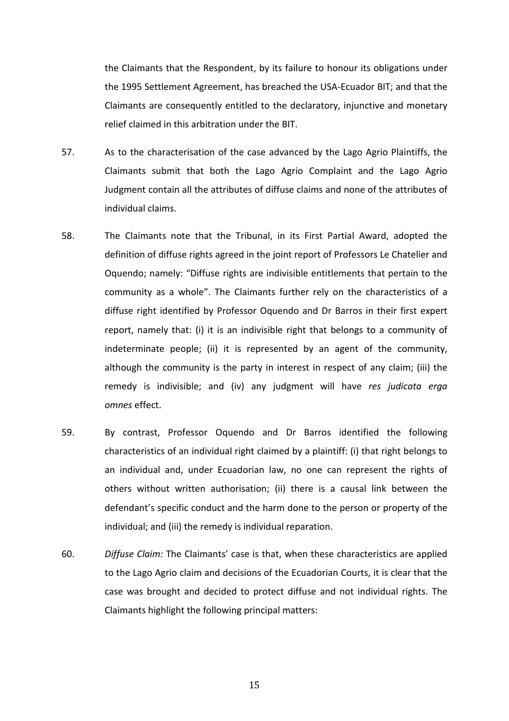the Claimants that the Respondent, by its failure to honour its obligations under the 1995 Settlement Agreement, has breached the USA-Ecuador BIT; and that the Claimants are consequently entitled to the declaratory, injunctive and monetary relief claimed in this arbitration under the BIT.

- 57. As to the characterisation of the case advanced by the Lago Agrio Plaintiffs, the Claimants submit that both the Lago Agrio Complaint and the Lago Agrio Judgment contain all the attributes of diffuse claims and none of the attributes of individual claims.
- 58. The Claimants note that the Tribunal, in its First Partial Award, adopted the definition of diffuse rights agreed in the joint report of Professors Le Chatelier and Oquendo; namely: "Diffuse rights are indivisible entitlements that pertain to the community as a whole". The Claimants further rely on the characteristics of a diffuse right identified by Professor Oquendo and Dr Barros in their first expert report, namely that: (i) it is an indivisible right that belongs to a community of indeterminate people; (ii) it is represented by an agent of the community, although the community is the party in interest in respect of any claim; (iii) the remedy is indivisible; and (iv) any judgment will have *res judicata erga omnes* effect.
- 59. By contrast, Professor Oquendo and Dr Barros identified the following characteristics of an individual right claimed by a plaintiff: (i) that right belongs to an individual and, under Ecuadorian law, no one can represent the rights of others without written authorisation; (ii) there is a causal link between the defendant's specific conduct and the harm done to the person or property of the individual; and (iii) the remedy is individual reparation.
- 60. *Diffuse Claim:* The Claimants' case is that, when these characteristics are applied to the Lago Agrio claim and decisions of the Ecuadorian Courts, it is clear that the case was brought and decided to protect diffuse and not individual rights. The Claimants highlight the following principal matters: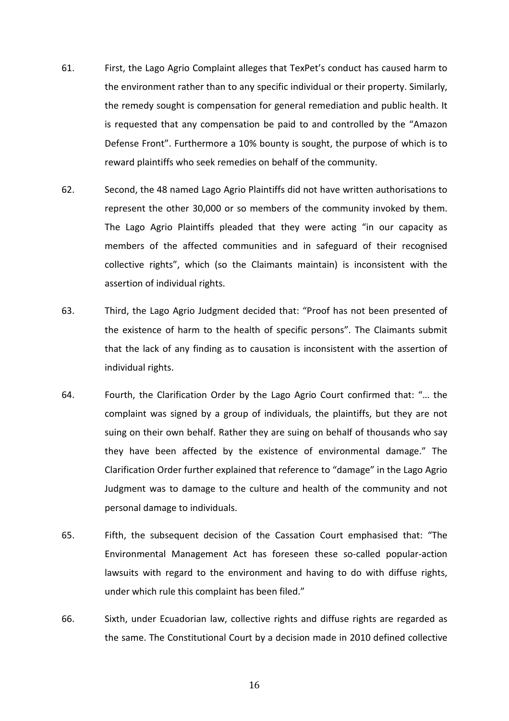- 61. First, the Lago Agrio Complaint alleges that TexPet's conduct has caused harm to the environment rather than to any specific individual or their property. Similarly, the remedy sought is compensation for general remediation and public health. It is requested that any compensation be paid to and controlled by the "Amazon Defense Front". Furthermore a 10% bounty is sought, the purpose of which is to reward plaintiffs who seek remedies on behalf of the community.
- 62. Second, the 48 named Lago Agrio Plaintiffs did not have written authorisations to represent the other 30,000 or so members of the community invoked by them. The Lago Agrio Plaintiffs pleaded that they were acting "in our capacity as members of the affected communities and in safeguard of their recognised collective rights", which (so the Claimants maintain) is inconsistent with the assertion of individual rights.
- 63. Third, the Lago Agrio Judgment decided that: "Proof has not been presented of the existence of harm to the health of specific persons". The Claimants submit that the lack of any finding as to causation is inconsistent with the assertion of individual rights.
- 64. Fourth, the Clarification Order by the Lago Agrio Court confirmed that: "… the complaint was signed by a group of individuals, the plaintiffs, but they are not suing on their own behalf. Rather they are suing on behalf of thousands who say they have been affected by the existence of environmental damage." The Clarification Order further explained that reference to "damage" in the Lago Agrio Judgment was to damage to the culture and health of the community and not personal damage to individuals.
- 65. Fifth, the subsequent decision of the Cassation Court emphasised that: "The Environmental Management Act has foreseen these so-called popular-action lawsuits with regard to the environment and having to do with diffuse rights, under which rule this complaint has been filed."
- 66. Sixth, under Ecuadorian law, collective rights and diffuse rights are regarded as the same. The Constitutional Court by a decision made in 2010 defined collective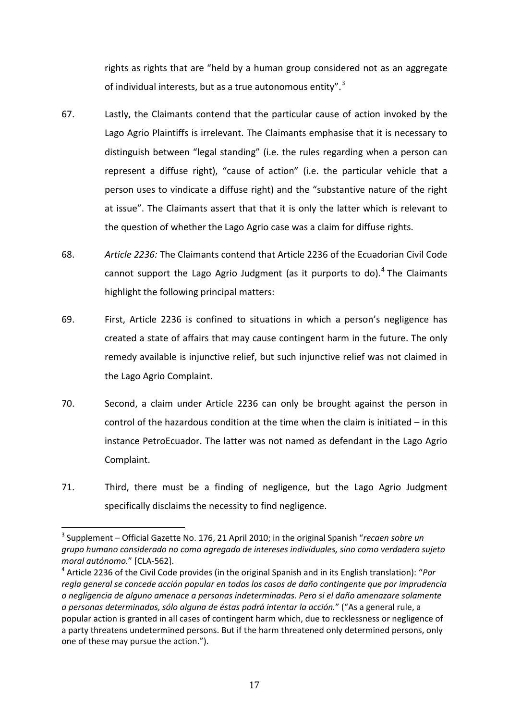rights as rights that are "held by a human group considered not as an aggregate of individual interests, but as a true autonomous entity".<sup>3</sup>

- 67. Lastly, the Claimants contend that the particular cause of action invoked by the Lago Agrio Plaintiffs is irrelevant. The Claimants emphasise that it is necessary to distinguish between "legal standing" (i.e. the rules regarding when a person can represent a diffuse right), "cause of action" (i.e. the particular vehicle that a person uses to vindicate a diffuse right) and the "substantive nature of the right at issue". The Claimants assert that that it is only the latter which is relevant to the question of whether the Lago Agrio case was a claim for diffuse rights.
- 68. *Article 2236:* The Claimants contend that Article 2236 of the Ecuadorian Civil Code cannot support the Lago Agrio Judgment (as it purports to do).<sup>4</sup> The Claimants highlight the following principal matters:
- 69. First, Article 2236 is confined to situations in which a person's negligence has created a state of affairs that may cause contingent harm in the future. The only remedy available is injunctive relief, but such injunctive relief was not claimed in the Lago Agrio Complaint.
- 70. Second, a claim under Article 2236 can only be brought against the person in control of the hazardous condition at the time when the claim is initiated – in this instance PetroEcuador. The latter was not named as defendant in the Lago Agrio Complaint.
- 71. Third, there must be a finding of negligence, but the Lago Agrio Judgment specifically disclaims the necessity to find negligence.

<sup>3</sup> Supplement – Official Gazette No. 176, 21 April 2010; in the original Spanish "*recaen sobre un grupo humano considerado no como agregado de intereses individuales, sino como verdadero sujeto moral autónomo.*" [CLA-562]. 4 Article 2236 of the Civil Code provides (in the original Spanish and in its English translation): "*Por*   $\overline{ }$ 

*regla general se concede acción popular en todos los casos de daño contingente que por imprudencia o negligencia de alguno amenace a personas indeterminadas. Pero si el daño amenazare solamente a personas determinadas, sólo alguna de éstas podrá intentar la acción.*" ("As a general rule, a popular action is granted in all cases of contingent harm which, due to recklessness or negligence of a party threatens undetermined persons. But if the harm threatened only determined persons, only one of these may pursue the action.").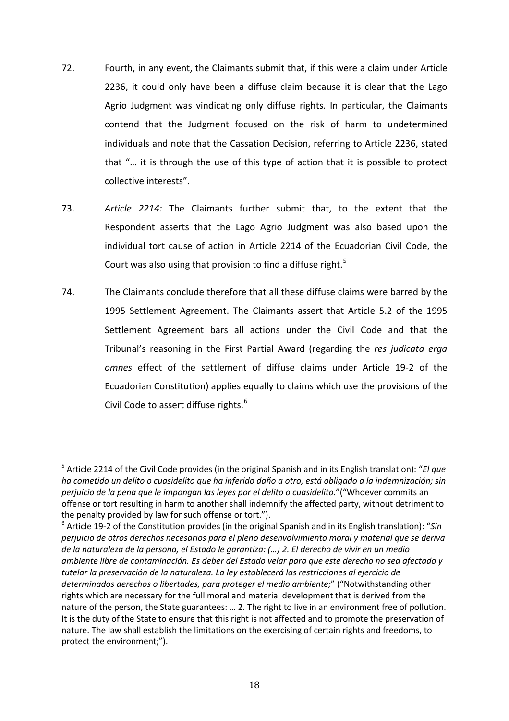- 72. Fourth, in any event, the Claimants submit that, if this were a claim under Article 2236, it could only have been a diffuse claim because it is clear that the Lago Agrio Judgment was vindicating only diffuse rights. In particular, the Claimants contend that the Judgment focused on the risk of harm to undetermined individuals and note that the Cassation Decision, referring to Article 2236, stated that "… it is through the use of this type of action that it is possible to protect collective interests".
- 73. *Article 2214:* The Claimants further submit that, to the extent that the Respondent asserts that the Lago Agrio Judgment was also based upon the individual tort cause of action in Article 2214 of the Ecuadorian Civil Code, the Court was also using that provision to find a diffuse right.<sup>5</sup>
- 74. The Claimants conclude therefore that all these diffuse claims were barred by the 1995 Settlement Agreement. The Claimants assert that Article 5.2 of the 1995 Settlement Agreement bars all actions under the Civil Code and that the Tribunal's reasoning in the First Partial Award (regarding the *res judicata erga omnes* effect of the settlement of diffuse claims under Article 19-2 of the Ecuadorian Constitution) applies equally to claims which use the provisions of the Civil Code to assert diffuse rights.<sup>6</sup>

<sup>6</sup> Article 19-2 of the Constitution provides (in the original Spanish and in its English translation): "*Sin perjuicio de otros derechos necesarios para el pleno desenvolvimiento moral y material que se deriva de la naturaleza de la persona, el Estado le garantiza: (…) 2. El derecho de vivir en un medio ambiente libre de contaminación. Es deber del Estado velar para que este derecho no sea afectado y tutelar la preservación de la naturaleza. La ley establecerá las restricciones al ejercicio de determinados derechos o libertades, para proteger el medio ambiente;*" ("Notwithstanding other rights which are necessary for the full moral and material development that is derived from the nature of the person, the State guarantees: … 2. The right to live in an environment free of pollution. It is the duty of the State to ensure that this right is not affected and to promote the preservation of nature. The law shall establish the limitations on the exercising of certain rights and freedoms, to protect the environment;").

<sup>5</sup> Article 2214 of the Civil Code provides (in the original Spanish and in its English translation): "*El que ha cometido un delito o cuasidelito que ha inferido daño a otro, está obligado a la indemnización; sin perjuicio de la pena que le impongan las leyes por el delito o cuasidelito.*"("Whoever commits an offense or tort resulting in harm to another shall indemnify the affected party, without detriment to the penalty provided by law for such offense or tort."). .<br>c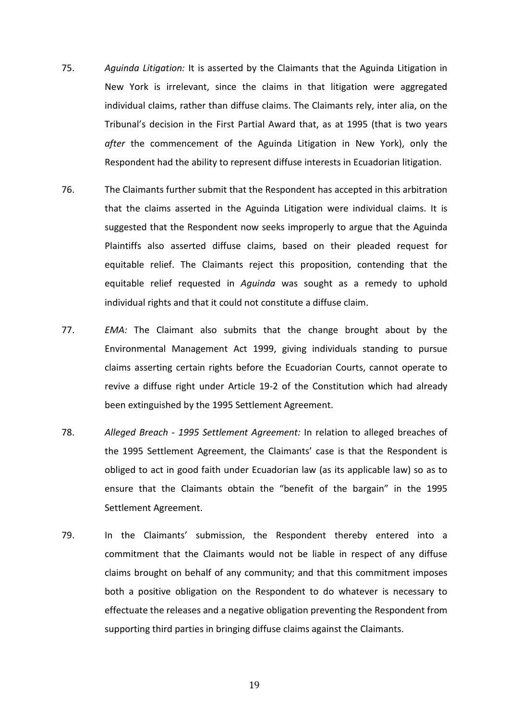- 75. *Aguinda Litigation:* It is asserted by the Claimants that the Aguinda Litigation in New York is irrelevant, since the claims in that litigation were aggregated individual claims, rather than diffuse claims. The Claimants rely, inter alia, on the Tribunal's decision in the First Partial Award that, as at 1995 (that is two years *after* the commencement of the Aguinda Litigation in New York), only the Respondent had the ability to represent diffuse interests in Ecuadorian litigation.
- 76. The Claimants further submit that the Respondent has accepted in this arbitration that the claims asserted in the Aguinda Litigation were individual claims. It is suggested that the Respondent now seeks improperly to argue that the Aguinda Plaintiffs also asserted diffuse claims, based on their pleaded request for equitable relief. The Claimants reject this proposition, contending that the equitable relief requested in *Aguinda* was sought as a remedy to uphold individual rights and that it could not constitute a diffuse claim.
- 77. *EMA:* The Claimant also submits that the change brought about by the Environmental Management Act 1999, giving individuals standing to pursue claims asserting certain rights before the Ecuadorian Courts, cannot operate to revive a diffuse right under Article 19-2 of the Constitution which had already been extinguished by the 1995 Settlement Agreement.
- 78. *Alleged Breach - 1995 Settlement Agreement:* In relation to alleged breaches of the 1995 Settlement Agreement, the Claimants' case is that the Respondent is obliged to act in good faith under Ecuadorian law (as its applicable law) so as to ensure that the Claimants obtain the "benefit of the bargain" in the 1995 Settlement Agreement.
- 79. In the Claimants' submission, the Respondent thereby entered into a commitment that the Claimants would not be liable in respect of any diffuse claims brought on behalf of any community; and that this commitment imposes both a positive obligation on the Respondent to do whatever is necessary to effectuate the releases and a negative obligation preventing the Respondent from supporting third parties in bringing diffuse claims against the Claimants.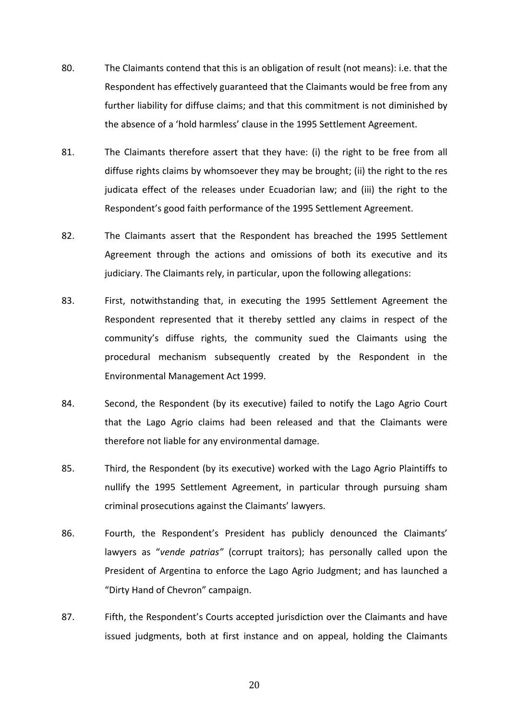- 80. The Claimants contend that this is an obligation of result (not means): i.e. that the Respondent has effectively guaranteed that the Claimants would be free from any further liability for diffuse claims; and that this commitment is not diminished by the absence of a 'hold harmless' clause in the 1995 Settlement Agreement.
- 81. The Claimants therefore assert that they have: (i) the right to be free from all diffuse rights claims by whomsoever they may be brought; (ii) the right to the res judicata effect of the releases under Ecuadorian law; and (iii) the right to the Respondent's good faith performance of the 1995 Settlement Agreement.
- 82. The Claimants assert that the Respondent has breached the 1995 Settlement Agreement through the actions and omissions of both its executive and its judiciary. The Claimants rely, in particular, upon the following allegations:
- 83. First, notwithstanding that, in executing the 1995 Settlement Agreement the Respondent represented that it thereby settled any claims in respect of the community's diffuse rights, the community sued the Claimants using the procedural mechanism subsequently created by the Respondent in the Environmental Management Act 1999.
- 84. Second, the Respondent (by its executive) failed to notify the Lago Agrio Court that the Lago Agrio claims had been released and that the Claimants were therefore not liable for any environmental damage.
- 85. Third, the Respondent (by its executive) worked with the Lago Agrio Plaintiffs to nullify the 1995 Settlement Agreement, in particular through pursuing sham criminal prosecutions against the Claimants' lawyers.
- 86. Fourth, the Respondent's President has publicly denounced the Claimants' lawyers as "*vende patrias"* (corrupt traitors); has personally called upon the President of Argentina to enforce the Lago Agrio Judgment; and has launched a "Dirty Hand of Chevron" campaign.
- 87. Fifth, the Respondent's Courts accepted jurisdiction over the Claimants and have issued judgments, both at first instance and on appeal, holding the Claimants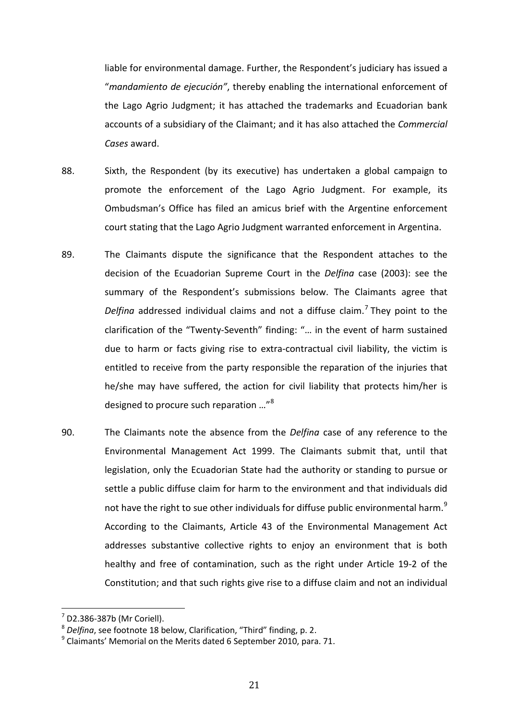liable for environmental damage. Further, the Respondent's judiciary has issued a "*mandamiento de ejecución"*, thereby enabling the international enforcement of the Lago Agrio Judgment; it has attached the trademarks and Ecuadorian bank accounts of a subsidiary of the Claimant; and it has also attached the *Commercial Cases* award.

- 88. Sixth, the Respondent (by its executive) has undertaken a global campaign to promote the enforcement of the Lago Agrio Judgment. For example, its Ombudsman's Office has filed an amicus brief with the Argentine enforcement court stating that the Lago Agrio Judgment warranted enforcement in Argentina.
- 89. The Claimants dispute the significance that the Respondent attaches to the decision of the Ecuadorian Supreme Court in the *Delfina* case (2003): see the summary of the Respondent's submissions below. The Claimants agree that *Delfina* addressed individual claims and not a diffuse claim.<sup>7</sup> They point to the clarification of the "Twenty-Seventh" finding: "… in the event of harm sustained due to harm or facts giving rise to extra-contractual civil liability, the victim is entitled to receive from the party responsible the reparation of the injuries that he/she may have suffered, the action for civil liability that protects him/her is designed to procure such reparation …"<sup>8</sup>
- 90. The Claimants note the absence from the *Delfina* case of any reference to the Environmental Management Act 1999. The Claimants submit that, until that legislation, only the Ecuadorian State had the authority or standing to pursue or settle a public diffuse claim for harm to the environment and that individuals did not have the right to sue other individuals for diffuse public environmental harm.<sup>9</sup> According to the Claimants, Article 43 of the Environmental Management Act addresses substantive collective rights to enjoy an environment that is both healthy and free of contamination, such as the right under Article 19-2 of the Constitution; and that such rights give rise to a diffuse claim and not an individual

 $^7$  D2.386-387b (Mr Coriell). l,

<sup>8</sup> *Delfina*, see footnote 18 below, Clarification, "Third" finding, p. 2.

 $9$  Claimants' Memorial on the Merits dated 6 September 2010, para. 71.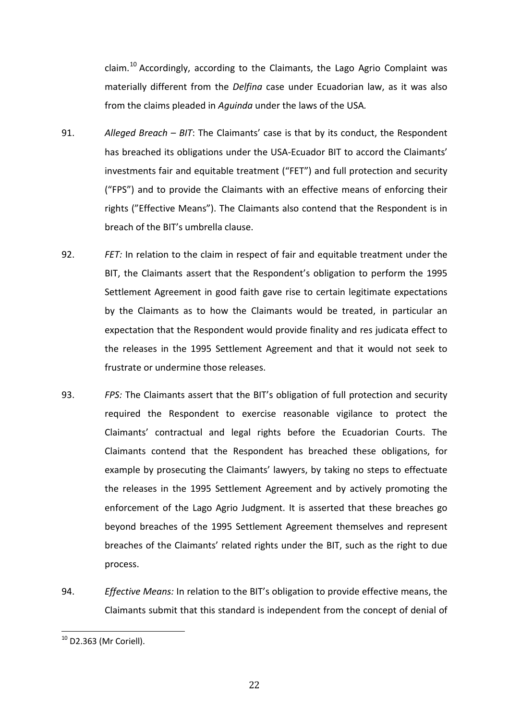claim.<sup>10</sup> Accordingly, according to the Claimants, the Lago Agrio Complaint was materially different from the *Delfina* case under Ecuadorian law, as it was also from the claims pleaded in *Aguinda* under the laws of the USA*.*

- 91. *Alleged Breach – BIT*: The Claimants' case is that by its conduct, the Respondent has breached its obligations under the USA-Ecuador BIT to accord the Claimants' investments fair and equitable treatment ("FET") and full protection and security ("FPS") and to provide the Claimants with an effective means of enforcing their rights ("Effective Means"). The Claimants also contend that the Respondent is in breach of the BIT's umbrella clause.
- 92. *FET:* In relation to the claim in respect of fair and equitable treatment under the BIT, the Claimants assert that the Respondent's obligation to perform the 1995 Settlement Agreement in good faith gave rise to certain legitimate expectations by the Claimants as to how the Claimants would be treated, in particular an expectation that the Respondent would provide finality and res judicata effect to the releases in the 1995 Settlement Agreement and that it would not seek to frustrate or undermine those releases.
- 93. *FPS:* The Claimants assert that the BIT's obligation of full protection and security required the Respondent to exercise reasonable vigilance to protect the Claimants' contractual and legal rights before the Ecuadorian Courts. The Claimants contend that the Respondent has breached these obligations, for example by prosecuting the Claimants' lawyers, by taking no steps to effectuate the releases in the 1995 Settlement Agreement and by actively promoting the enforcement of the Lago Agrio Judgment. It is asserted that these breaches go beyond breaches of the 1995 Settlement Agreement themselves and represent breaches of the Claimants' related rights under the BIT, such as the right to due process.
- 94. *Effective Means:* In relation to the BIT's obligation to provide effective means, the Claimants submit that this standard is independent from the concept of denial of

 $^{10}$  D2.363 (Mr Coriell).  $\overline{1}$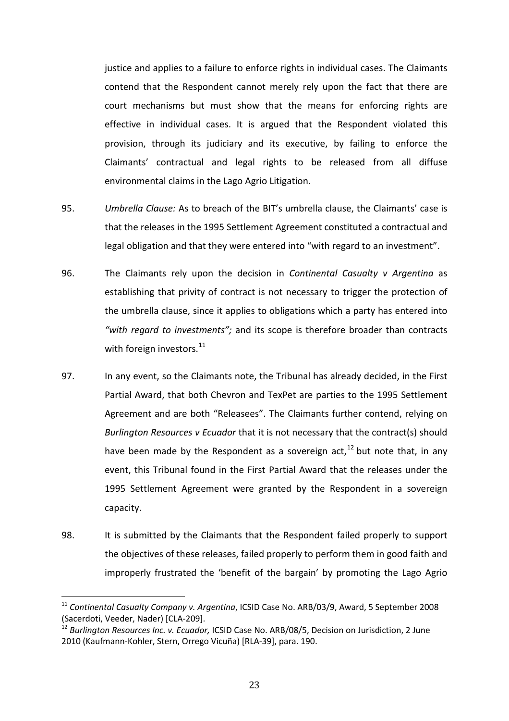justice and applies to a failure to enforce rights in individual cases. The Claimants contend that the Respondent cannot merely rely upon the fact that there are court mechanisms but must show that the means for enforcing rights are effective in individual cases. It is argued that the Respondent violated this provision, through its judiciary and its executive, by failing to enforce the Claimants' contractual and legal rights to be released from all diffuse environmental claims in the Lago Agrio Litigation.

- 95. *Umbrella Clause:* As to breach of the BIT's umbrella clause, the Claimants' case is that the releases in the 1995 Settlement Agreement constituted a contractual and legal obligation and that they were entered into "with regard to an investment".
- 96. The Claimants rely upon the decision in *Continental Casualty v Argentina* as establishing that privity of contract is not necessary to trigger the protection of the umbrella clause, since it applies to obligations which a party has entered into *"with regard to investments";* and its scope is therefore broader than contracts with foreign investors. $^{11}$
- 97. In any event, so the Claimants note, the Tribunal has already decided, in the First Partial Award, that both Chevron and TexPet are parties to the 1995 Settlement Agreement and are both "Releasees". The Claimants further contend, relying on *Burlington Resources v Ecuador* that it is not necessary that the contract(s) should have been made by the Respondent as a sovereign act,<sup>12</sup> but note that, in any event, this Tribunal found in the First Partial Award that the releases under the 1995 Settlement Agreement were granted by the Respondent in a sovereign capacity.
- 98. It is submitted by the Claimants that the Respondent failed properly to support the objectives of these releases, failed properly to perform them in good faith and improperly frustrated the 'benefit of the bargain' by promoting the Lago Agrio

<sup>11</sup> *Continental Casualty Company v. Argentina*, ICSID Case No. ARB/03/9, Award, 5 September 2008 (Sacerdoti, Veeder, Nader) [CLA-209].  $\overline{1}$ 

<sup>12</sup> *Burlington Resources Inc. v. Ecuador,* ICSID Case No. ARB/08/5, Decision on Jurisdiction, 2 June 2010 (Kaufmann-Kohler, Stern, Orrego Vicuña) [RLA-39], para. 190.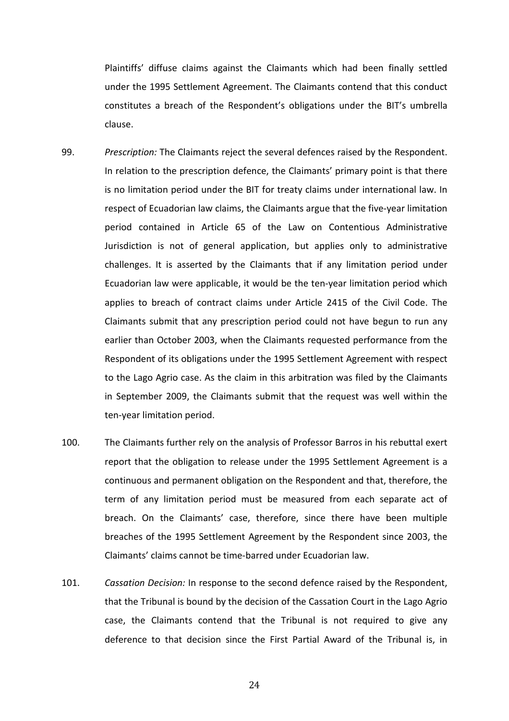Plaintiffs' diffuse claims against the Claimants which had been finally settled under the 1995 Settlement Agreement. The Claimants contend that this conduct constitutes a breach of the Respondent's obligations under the BIT's umbrella clause.

- 99. *Prescription:* The Claimants reject the several defences raised by the Respondent. In relation to the prescription defence, the Claimants' primary point is that there is no limitation period under the BIT for treaty claims under international law. In respect of Ecuadorian law claims, the Claimants argue that the five-year limitation period contained in Article 65 of the Law on Contentious Administrative Jurisdiction is not of general application, but applies only to administrative challenges. It is asserted by the Claimants that if any limitation period under Ecuadorian law were applicable, it would be the ten-year limitation period which applies to breach of contract claims under Article 2415 of the Civil Code. The Claimants submit that any prescription period could not have begun to run any earlier than October 2003, when the Claimants requested performance from the Respondent of its obligations under the 1995 Settlement Agreement with respect to the Lago Agrio case. As the claim in this arbitration was filed by the Claimants in September 2009, the Claimants submit that the request was well within the ten-year limitation period.
- 100. The Claimants further rely on the analysis of Professor Barros in his rebuttal exert report that the obligation to release under the 1995 Settlement Agreement is a continuous and permanent obligation on the Respondent and that, therefore, the term of any limitation period must be measured from each separate act of breach. On the Claimants' case, therefore, since there have been multiple breaches of the 1995 Settlement Agreement by the Respondent since 2003, the Claimants' claims cannot be time-barred under Ecuadorian law.
- 101. *Cassation Decision:* In response to the second defence raised by the Respondent, that the Tribunal is bound by the decision of the Cassation Court in the Lago Agrio case, the Claimants contend that the Tribunal is not required to give any deference to that decision since the First Partial Award of the Tribunal is, in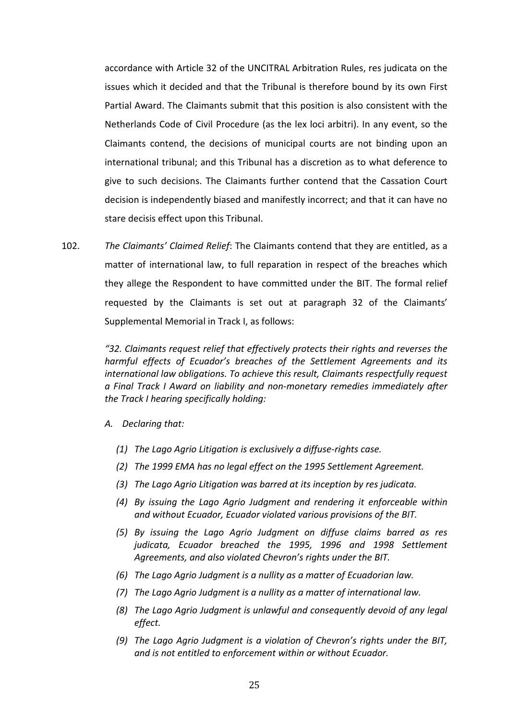accordance with Article 32 of the UNCITRAL Arbitration Rules, res judicata on the issues which it decided and that the Tribunal is therefore bound by its own First Partial Award. The Claimants submit that this position is also consistent with the Netherlands Code of Civil Procedure (as the lex loci arbitri). In any event, so the Claimants contend, the decisions of municipal courts are not binding upon an international tribunal; and this Tribunal has a discretion as to what deference to give to such decisions. The Claimants further contend that the Cassation Court decision is independently biased and manifestly incorrect; and that it can have no stare decisis effect upon this Tribunal.

102. *The Claimants' Claimed Relief*: The Claimants contend that they are entitled, as a matter of international law, to full reparation in respect of the breaches which they allege the Respondent to have committed under the BIT. The formal relief requested by the Claimants is set out at paragraph 32 of the Claimants' Supplemental Memorial in Track I, as follows:

> *"32. Claimants request relief that effectively protects their rights and reverses the harmful effects of Ecuador's breaches of the Settlement Agreements and its international law obligations. To achieve this result, Claimants respectfully request a Final Track I Award on liability and non-monetary remedies immediately after the Track I hearing specifically holding:*

#### *A. Declaring that:*

- *(1) The Lago Agrio Litigation is exclusively a diffuse-rights case.*
- *(2) The 1999 EMA has no legal effect on the 1995 Settlement Agreement.*
- *(3) The Lago Agrio Litigation was barred at its inception by res judicata.*
- *(4) By issuing the Lago Agrio Judgment and rendering it enforceable within and without Ecuador, Ecuador violated various provisions of the BIT.*
- *(5) By issuing the Lago Agrio Judgment on diffuse claims barred as res judicata, Ecuador breached the 1995, 1996 and 1998 Settlement Agreements, and also violated Chevron's rights under the BIT.*
- *(6) The Lago Agrio Judgment is a nullity as a matter of Ecuadorian law.*
- *(7) The Lago Agrio Judgment is a nullity as a matter of international law.*
- *(8) The Lago Agrio Judgment is unlawful and consequently devoid of any legal effect.*
- *(9) The Lago Agrio Judgment is a violation of Chevron's rights under the BIT, and is not entitled to enforcement within or without Ecuador.*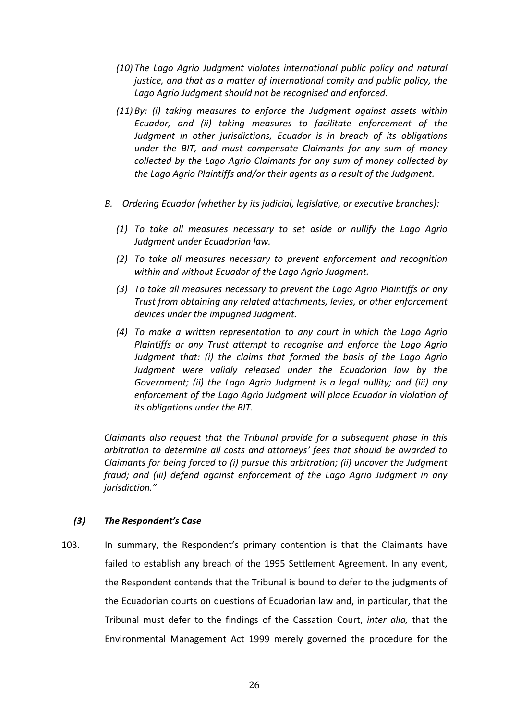- *(10) The Lago Agrio Judgment violates international public policy and natural justice, and that as a matter of international comity and public policy, the Lago Agrio Judgment should not be recognised and enforced.*
- *(11) By: (i) taking measures to enforce the Judgment against assets within Ecuador, and (ii) taking measures to facilitate enforcement of the Judgment in other jurisdictions, Ecuador is in breach of its obligations under the BIT, and must compensate Claimants for any sum of money collected by the Lago Agrio Claimants for any sum of money collected by the Lago Agrio Plaintiffs and/or their agents as a result of the Judgment.*
- *B. Ordering Ecuador (whether by its judicial, legislative, or executive branches):*
	- *(1) To take all measures necessary to set aside or nullify the Lago Agrio Judgment under Ecuadorian law.*
	- *(2) To take all measures necessary to prevent enforcement and recognition within and without Ecuador of the Lago Agrio Judgment.*
	- *(3) To take all measures necessary to prevent the Lago Agrio Plaintiffs or any Trust from obtaining any related attachments, levies, or other enforcement devices under the impugned Judgment.*
	- *(4) To make a written representation to any court in which the Lago Agrio Plaintiffs or any Trust attempt to recognise and enforce the Lago Agrio Judgment that: (i) the claims that formed the basis of the Lago Agrio Judgment were validly released under the Ecuadorian law by the Government; (ii) the Lago Agrio Judgment is a legal nullity; and (iii) any enforcement of the Lago Agrio Judgment will place Ecuador in violation of its obligations under the BIT.*

*Claimants also request that the Tribunal provide for a subsequent phase in this arbitration to determine all costs and attorneys' fees that should be awarded to Claimants for being forced to (i) pursue this arbitration; (ii) uncover the Judgment fraud; and (iii) defend against enforcement of the Lago Agrio Judgment in any jurisdiction."*

### *(3) The Respondent's Case*

103. In summary, the Respondent's primary contention is that the Claimants have failed to establish any breach of the 1995 Settlement Agreement. In any event, the Respondent contends that the Tribunal is bound to defer to the judgments of the Ecuadorian courts on questions of Ecuadorian law and, in particular, that the Tribunal must defer to the findings of the Cassation Court, *inter alia,* that the Environmental Management Act 1999 merely governed the procedure for the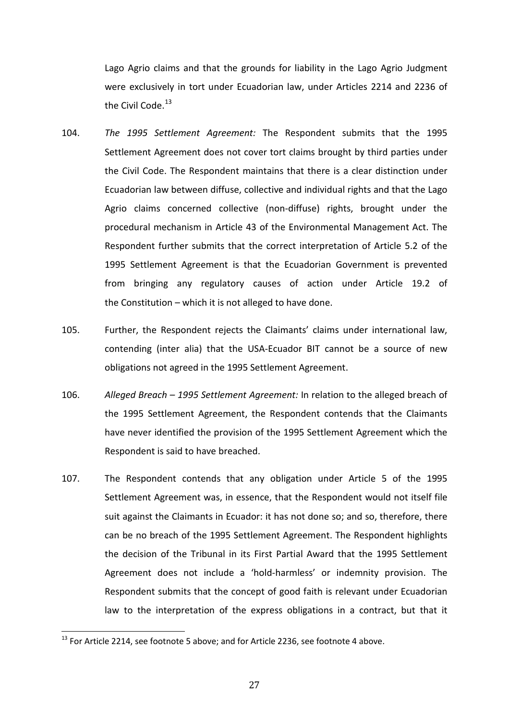Lago Agrio claims and that the grounds for liability in the Lago Agrio Judgment were exclusively in tort under Ecuadorian law, under Articles 2214 and 2236 of the Civil Code.<sup>13</sup>

- 104. *The 1995 Settlement Agreement:* The Respondent submits that the 1995 Settlement Agreement does not cover tort claims brought by third parties under the Civil Code. The Respondent maintains that there is a clear distinction under Ecuadorian law between diffuse, collective and individual rights and that the Lago Agrio claims concerned collective (non-diffuse) rights, brought under the procedural mechanism in Article 43 of the Environmental Management Act. The Respondent further submits that the correct interpretation of Article 5.2 of the 1995 Settlement Agreement is that the Ecuadorian Government is prevented from bringing any regulatory causes of action under Article 19.2 of the Constitution – which it is not alleged to have done.
- 105. Further, the Respondent rejects the Claimants' claims under international law, contending (inter alia) that the USA-Ecuador BIT cannot be a source of new obligations not agreed in the 1995 Settlement Agreement.
- 106. *Alleged Breach – 1995 Settlement Agreement:* In relation to the alleged breach of the 1995 Settlement Agreement, the Respondent contends that the Claimants have never identified the provision of the 1995 Settlement Agreement which the Respondent is said to have breached.
- 107. The Respondent contends that any obligation under Article 5 of the 1995 Settlement Agreement was, in essence, that the Respondent would not itself file suit against the Claimants in Ecuador: it has not done so; and so, therefore, there can be no breach of the 1995 Settlement Agreement. The Respondent highlights the decision of the Tribunal in its First Partial Award that the 1995 Settlement Agreement does not include a 'hold-harmless' or indemnity provision. The Respondent submits that the concept of good faith is relevant under Ecuadorian law to the interpretation of the express obligations in a contract, but that it

 $^{13}$  For Article 2214, see footnote 5 above; and for Article 2236, see footnote 4 above.  $\overline{1}$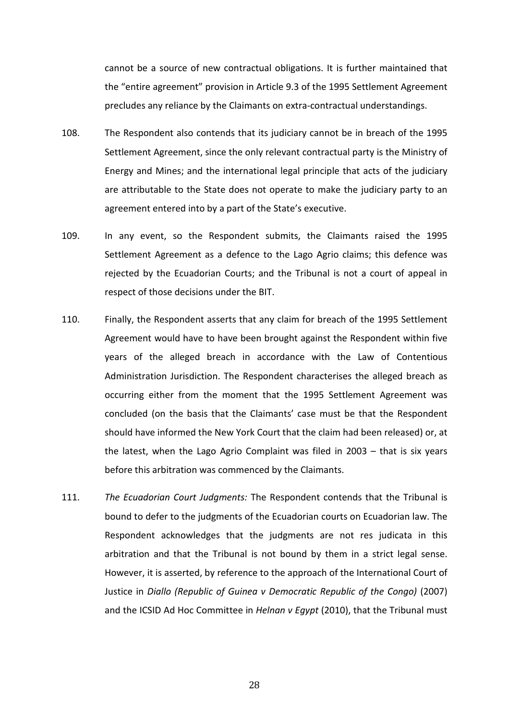cannot be a source of new contractual obligations. It is further maintained that the "entire agreement" provision in Article 9.3 of the 1995 Settlement Agreement precludes any reliance by the Claimants on extra-contractual understandings.

- 108. The Respondent also contends that its judiciary cannot be in breach of the 1995 Settlement Agreement, since the only relevant contractual party is the Ministry of Energy and Mines; and the international legal principle that acts of the judiciary are attributable to the State does not operate to make the judiciary party to an agreement entered into by a part of the State's executive.
- 109. In any event, so the Respondent submits, the Claimants raised the 1995 Settlement Agreement as a defence to the Lago Agrio claims; this defence was rejected by the Ecuadorian Courts; and the Tribunal is not a court of appeal in respect of those decisions under the BIT.
- 110. Finally, the Respondent asserts that any claim for breach of the 1995 Settlement Agreement would have to have been brought against the Respondent within five years of the alleged breach in accordance with the Law of Contentious Administration Jurisdiction. The Respondent characterises the alleged breach as occurring either from the moment that the 1995 Settlement Agreement was concluded (on the basis that the Claimants' case must be that the Respondent should have informed the New York Court that the claim had been released) or, at the latest, when the Lago Agrio Complaint was filed in 2003 – that is six years before this arbitration was commenced by the Claimants.
- 111. *The Ecuadorian Court Judgments:* The Respondent contends that the Tribunal is bound to defer to the judgments of the Ecuadorian courts on Ecuadorian law. The Respondent acknowledges that the judgments are not res judicata in this arbitration and that the Tribunal is not bound by them in a strict legal sense. However, it is asserted, by reference to the approach of the International Court of Justice in *Diallo (Republic of Guinea v Democratic Republic of the Congo)* (2007) and the ICSID Ad Hoc Committee in *Helnan v Egypt* (2010), that the Tribunal must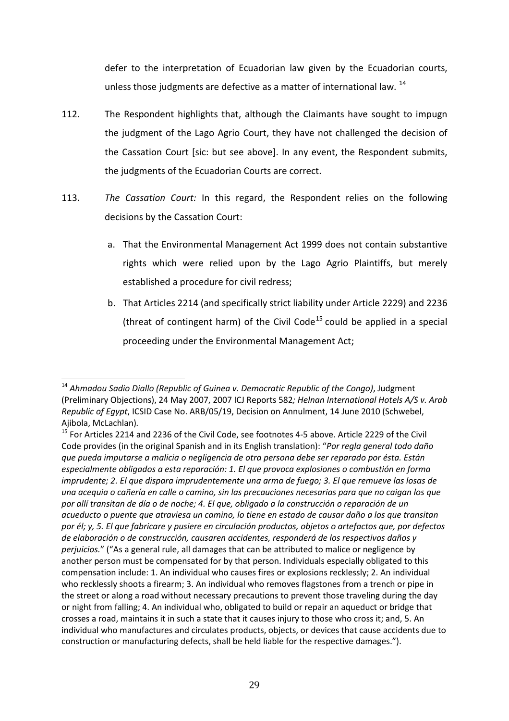defer to the interpretation of Ecuadorian law given by the Ecuadorian courts, unless those judgments are defective as a matter of international law. <sup>14</sup>

- 112. The Respondent highlights that, although the Claimants have sought to impugn the judgment of the Lago Agrio Court, they have not challenged the decision of the Cassation Court [sic: but see above]. In any event, the Respondent submits, the judgments of the Ecuadorian Courts are correct.
- 113. *The Cassation Court:* In this regard, the Respondent relies on the following decisions by the Cassation Court:
	- a. That the Environmental Management Act 1999 does not contain substantive rights which were relied upon by the Lago Agrio Plaintiffs, but merely established a procedure for civil redress;
	- b. That Articles 2214 (and specifically strict liability under Article 2229) and 2236 (threat of contingent harm) of the Civil Code<sup>15</sup> could be applied in a special proceeding under the Environmental Management Act;

<sup>14</sup> *Ahmadou Sadio Diallo (Republic of Guinea v. Democratic Republic of the Congo)*, Judgment (Preliminary Objections), 24 May 2007, 2007 ICJ Reports 582*; Helnan International Hotels A/S v. Arab Republic of Egypt*, ICSID Case No. ARB/05/19, Decision on Annulment, 14 June 2010 (Schwebel, Ajibola, McLachlan)*.*  $\overline{1}$ 

<sup>&</sup>lt;sup>15</sup> For Articles 2214 and 2236 of the Civil Code, see footnotes 4-5 above. Article 2229 of the Civil Code provides (in the original Spanish and in its English translation): "*Por regla general todo daño que pueda imputarse a malicia o negligencia de otra persona debe ser reparado por ésta. Están especialmente obligados a esta reparación: 1. El que provoca explosiones o combustión en forma imprudente; 2. El que dispara imprudentemente una arma de fuego; 3. El que remueve las losas de una acequia o cañería en calle o camino, sin las precauciones necesarias para que no caigan los que por allí transitan de día o de noche; 4. El que, obligado a la construcción o reparación de un acueducto o puente que atraviesa un camino, lo tiene en estado de causar daño a los que transitan por él; y, 5. El que fabricare y pusiere en circulación productos, objetos o artefactos que, por defectos de elaboración o de construcción, causaren accidentes, responderá de los respectivos daños y perjuicios.*" ("As a general rule, all damages that can be attributed to malice or negligence by another person must be compensated for by that person. Individuals especially obligated to this compensation include: 1. An individual who causes fires or explosions recklessly; 2. An individual who recklessly shoots a firearm; 3. An individual who removes flagstones from a trench or pipe in the street or along a road without necessary precautions to prevent those traveling during the day or night from falling; 4. An individual who, obligated to build or repair an aqueduct or bridge that crosses a road, maintains it in such a state that it causes injury to those who cross it; and, 5. An individual who manufactures and circulates products, objects, or devices that cause accidents due to construction or manufacturing defects, shall be held liable for the respective damages.").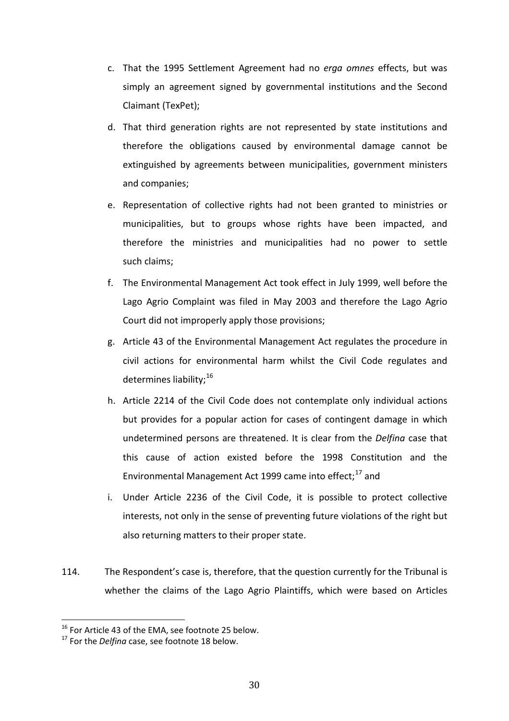- c. That the 1995 Settlement Agreement had no *erga omnes* effects, but was simply an agreement signed by governmental institutions and the Second Claimant (TexPet);
- d. That third generation rights are not represented by state institutions and therefore the obligations caused by environmental damage cannot be extinguished by agreements between municipalities, government ministers and companies;
- e. Representation of collective rights had not been granted to ministries or municipalities, but to groups whose rights have been impacted, and therefore the ministries and municipalities had no power to settle such claims;
- f. The Environmental Management Act took effect in July 1999, well before the Lago Agrio Complaint was filed in May 2003 and therefore the Lago Agrio Court did not improperly apply those provisions;
- g. Article 43 of the Environmental Management Act regulates the procedure in civil actions for environmental harm whilst the Civil Code regulates and determines liability;<sup>16</sup>
- h. Article 2214 of the Civil Code does not contemplate only individual actions but provides for a popular action for cases of contingent damage in which undetermined persons are threatened. It is clear from the *Delfina* case that this cause of action existed before the 1998 Constitution and the Environmental Management Act 1999 came into effect; $^{17}$  and
- i. Under Article 2236 of the Civil Code, it is possible to protect collective interests, not only in the sense of preventing future violations of the right but also returning matters to their proper state.
- 114. The Respondent's case is, therefore, that the question currently for the Tribunal is whether the claims of the Lago Agrio Plaintiffs, which were based on Articles

 $^{16}$  For Article 43 of the EMA, see footnote 25 below.  $\overline{a}$ 

<sup>&</sup>lt;sup>17</sup> For the *Delfina* case, see footnote 18 below.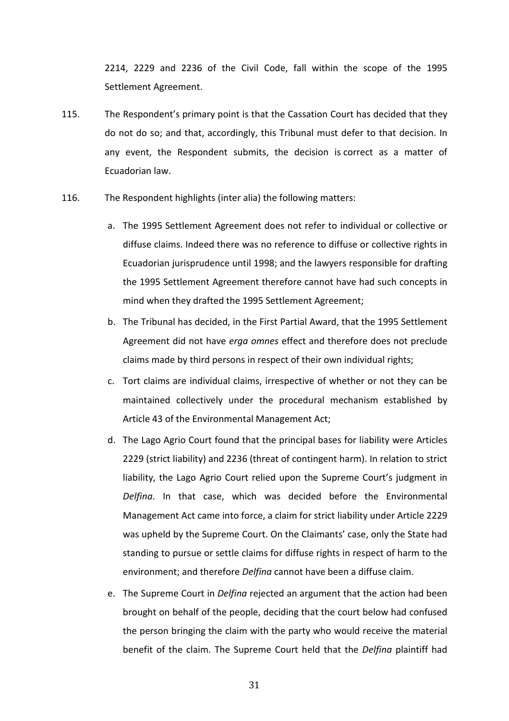2214, 2229 and 2236 of the Civil Code, fall within the scope of the 1995 Settlement Agreement.

- 115. The Respondent's primary point is that the Cassation Court has decided that they do not do so; and that, accordingly, this Tribunal must defer to that decision. In any event, the Respondent submits, the decision is correct as a matter of Ecuadorian law.
- 116. The Respondent highlights (inter alia) the following matters:
	- a. The 1995 Settlement Agreement does not refer to individual or collective or diffuse claims. Indeed there was no reference to diffuse or collective rights in Ecuadorian jurisprudence until 1998; and the lawyers responsible for drafting the 1995 Settlement Agreement therefore cannot have had such concepts in mind when they drafted the 1995 Settlement Agreement;
	- b. The Tribunal has decided, in the First Partial Award, that the 1995 Settlement Agreement did not have *erga omnes* effect and therefore does not preclude claims made by third persons in respect of their own individual rights;
	- c. Tort claims are individual claims, irrespective of whether or not they can be maintained collectively under the procedural mechanism established by Article 43 of the Environmental Management Act;
	- d. The Lago Agrio Court found that the principal bases for liability were Articles 2229 (strict liability) and 2236 (threat of contingent harm). In relation to strict liability, the Lago Agrio Court relied upon the Supreme Court's judgment in *Delfina*. In that case, which was decided before the Environmental Management Act came into force, a claim for strict liability under Article 2229 was upheld by the Supreme Court. On the Claimants' case, only the State had standing to pursue or settle claims for diffuse rights in respect of harm to the environment; and therefore *Delfina* cannot have been a diffuse claim.
	- e. The Supreme Court in *Delfina* rejected an argument that the action had been brought on behalf of the people, deciding that the court below had confused the person bringing the claim with the party who would receive the material benefit of the claim. The Supreme Court held that the *Delfina* plaintiff had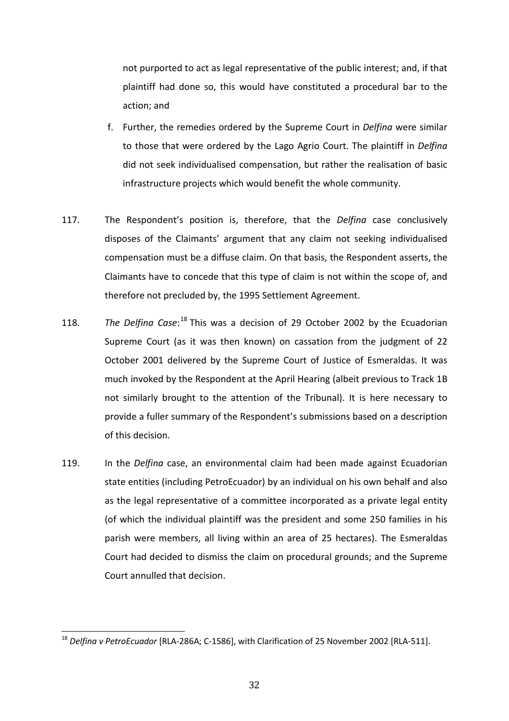not purported to act as legal representative of the public interest; and, if that plaintiff had done so, this would have constituted a procedural bar to the action; and

- f. Further, the remedies ordered by the Supreme Court in *Delfina* were similar to those that were ordered by the Lago Agrio Court. The plaintiff in *Delfina* did not seek individualised compensation, but rather the realisation of basic infrastructure projects which would benefit the whole community.
- 117. The Respondent's position is, therefore, that the *Delfina* case conclusively disposes of the Claimants' argument that any claim not seeking individualised compensation must be a diffuse claim. On that basis, the Respondent asserts, the Claimants have to concede that this type of claim is not within the scope of, and therefore not precluded by, the 1995 Settlement Agreement.
- 118. The Delfina Case:<sup>18</sup> This was a decision of 29 October 2002 by the Ecuadorian Supreme Court (as it was then known) on cassation from the judgment of 22 October 2001 delivered by the Supreme Court of Justice of Esmeraldas. It was much invoked by the Respondent at the April Hearing (albeit previous to Track 1B not similarly brought to the attention of the Tribunal). It is here necessary to provide a fuller summary of the Respondent's submissions based on a description of this decision.
- 119. In the *Delfina* case, an environmental claim had been made against Ecuadorian state entities (including PetroEcuador) by an individual on his own behalf and also as the legal representative of a committee incorporated as a private legal entity (of which the individual plaintiff was the president and some 250 families in his parish were members, all living within an area of 25 hectares). The Esmeraldas Court had decided to dismiss the claim on procedural grounds; and the Supreme Court annulled that decision.

<sup>18</sup> *Delfina v PetroEcuador* [RLA-286A; C-1586], with Clarification of 25 November 2002 [RLA-511].  $\overline{1}$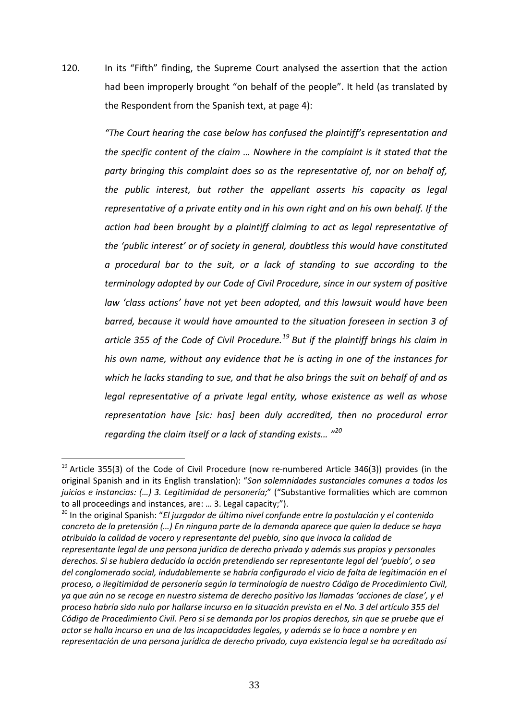120. In its "Fifth" finding, the Supreme Court analysed the assertion that the action had been improperly brought "on behalf of the people". It held (as translated by the Respondent from the Spanish text, at page 4):

> *"The Court hearing the case below has confused the plaintiff's representation and the specific content of the claim … Nowhere in the complaint is it stated that the party bringing this complaint does so as the representative of, nor on behalf of, the public interest, but rather the appellant asserts his capacity as legal representative of a private entity and in his own right and on his own behalf. If the action had been brought by a plaintiff claiming to act as legal representative of the 'public interest' or of society in general, doubtless this would have constituted a procedural bar to the suit, or a lack of standing to sue according to the terminology adopted by our Code of Civil Procedure, since in our system of positive law 'class actions' have not yet been adopted, and this lawsuit would have been barred, because it would have amounted to the situation foreseen in section 3 of article 355 of the Code of Civil Procedure.<sup>19</sup> But if the plaintiff brings his claim in his own name, without any evidence that he is acting in one of the instances for which he lacks standing to sue, and that he also brings the suit on behalf of and as legal representative of a private legal entity, whose existence as well as whose representation have [sic: has] been duly accredited, then no procedural error regarding the claim itself or a lack of standing exists… "<sup>20</sup>*

<sup>20</sup> In the original Spanish: "*El juzgador de último nivel confunde entre la postulación y el contenido concreto de la pretensión (…) En ninguna parte de la demanda aparece que quien la deduce se haya atribuido la calidad de vocero y representante del pueblo, sino que invoca la calidad de representante legal de una persona jurídica de derecho privado y además sus propios y personales derechos. Si se hubiera deducido la acción pretendiendo ser representante legal del 'pueblo', o sea del conglomerado social, indudablemente se habría configurado el vicio de falta de legitimación en el proceso, o ilegitimidad de personería según la terminología de nuestro Código de Procedimiento Civil, ya que aún no se recoge en nuestro sistema de derecho positivo las llamadas 'acciones de clase', y el proceso habría sido nulo por hallarse incurso en la situación prevista en el No. 3 del artículo 355 del Código de Procedimiento Civil. Pero si se demanda por los propios derechos, sin que se pruebe que el actor se halla incurso en una de las incapacidades legales, y además se lo hace a nombre y en representación de una persona jurídica de derecho privado, cuya existencia legal se ha acreditado así* 

 $^{19}$  Article 355(3) of the Code of Civil Procedure (now re-numbered Article 346(3)) provides (in the original Spanish and in its English translation): "*Son solemnidades sustanciales comunes a todos los juicios e instancias: (…) 3. Legitimidad de personería;*" ("Substantive formalities which are common to all proceedings and instances, are: … 3. Legal capacity;").  $\overline{1}$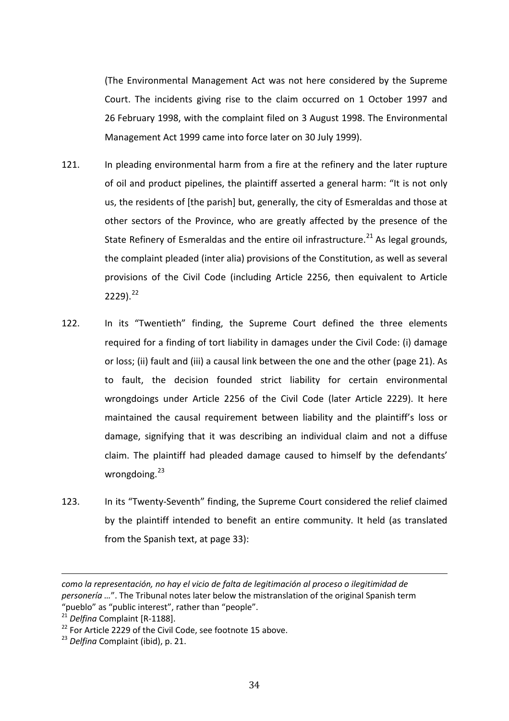(The Environmental Management Act was not here considered by the Supreme Court. The incidents giving rise to the claim occurred on 1 October 1997 and 26 February 1998, with the complaint filed on 3 August 1998. The Environmental Management Act 1999 came into force later on 30 July 1999).

- 121. In pleading environmental harm from a fire at the refinery and the later rupture of oil and product pipelines, the plaintiff asserted a general harm: "It is not only us, the residents of [the parish] but, generally, the city of Esmeraldas and those at other sectors of the Province, who are greatly affected by the presence of the State Refinery of Esmeraldas and the entire oil infrastructure.<sup>21</sup> As legal grounds, the complaint pleaded (inter alia) provisions of the Constitution, as well as several provisions of the Civil Code (including Article 2256, then equivalent to Article  $2229$ ).<sup>22</sup>
- 122. In its "Twentieth" finding, the Supreme Court defined the three elements required for a finding of tort liability in damages under the Civil Code: (i) damage or loss; (ii) fault and (iii) a causal link between the one and the other (page 21). As to fault, the decision founded strict liability for certain environmental wrongdoings under Article 2256 of the Civil Code (later Article 2229). It here maintained the causal requirement between liability and the plaintiff's loss or damage, signifying that it was describing an individual claim and not a diffuse claim. The plaintiff had pleaded damage caused to himself by the defendants' wrongdoing.<sup>23</sup>
- 123. In its "Twenty-Seventh" finding, the Supreme Court considered the relief claimed by the plaintiff intended to benefit an entire community. It held (as translated from the Spanish text, at page 33):

*como la representación, no hay el vicio de falta de legitimación al proceso o ilegitimidad de personería …*". The Tribunal notes later below the mistranslation of the original Spanish term "pueblo" as "public interest", rather than "people". j

<sup>&</sup>lt;sup>21</sup> *Delfina* Complaint [R-1188].

<sup>&</sup>lt;sup>22</sup> For Article 2229 of the Civil Code, see footnote 15 above.

<sup>23</sup> *Delfina* Complaint (ibid), p. 21.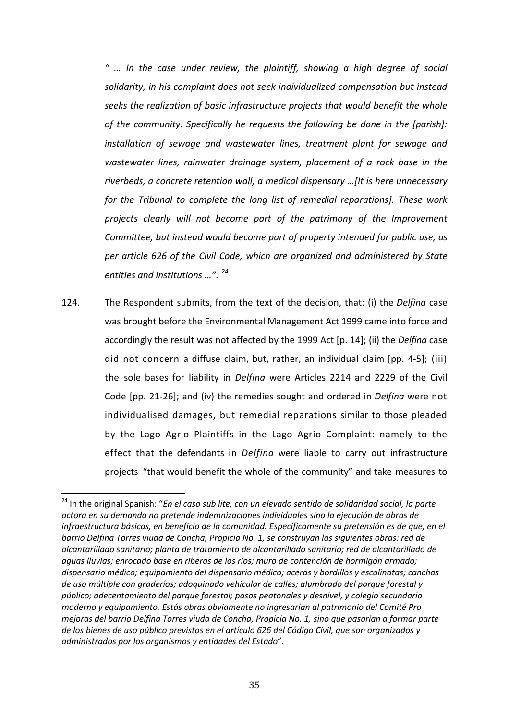*" … In the case under review, the plaintiff, showing a high degree of social solidarity, in his complaint does not seek individualized compensation but instead seeks the realization of basic infrastructure projects that would benefit the whole of the community. Specifically he requests the following be done in the [parish]: installation of sewage and wastewater lines, treatment plant for sewage and wastewater lines, rainwater drainage system, placement of a rock base in the riverbeds, a concrete retention wall, a medical dispensary …[It is here unnecessary for the Tribunal to complete the long list of remedial reparations]. These work projects clearly will not become part of the patrimony of the Improvement Committee, but instead would become part of property intended for public use, as per article 626 of the Civil Code, which are organized and administered by State entities and institutions …". <sup>24</sup>*

124. The Respondent submits, from the text of the decision, that: (i) the *Delfina* case was brought before the Environmental Management Act 1999 came into force and accordingly the result was not affected by the 1999 Act [p. 14]; (ii) the *Delfina* case did not concern a diffuse claim, but, rather, an individual claim [pp. 4-5]; (iii) the sole bases for liability in *Delfina* were Articles 2214 and 2229 of the Civil Code [pp. 21-26]; and (iv) the remedies sought and ordered in *Delfina* were not individualised damages, but remedial reparations similar to those pleaded by the Lago Agrio Plaintiffs in the Lago Agrio Complaint: namely to the effect that the defendants in *Delfina* were liable to carry out infrastructure projects "that would benefit the whole of the community" and take measures to

<sup>24</sup> In the original Spanish: "*En el caso sub lite, con un elevado sentido de solidaridad social, la parte actora en su demanda no pretende indemnizaciones individuales sino la ejecución de obras de infraestructura básicas, en beneficio de la comunidad. Específicamente su pretensión es de que, en el barrio Delfina Torres viuda de Concha, Propicia No. 1, se construyan las siguientes obras: red de alcantarillado sanitario; planta de tratamiento de alcantarillado sanitario; red de alcantarillado de aguas lluvias; enrocado base en riberas de los ríos; muro de contención de hormigón armado; dispensario médico; equipamiento del dispensario médico; aceras y bordillos y escalinatas; canchas de uso múltiple con graderíos; adoquinado vehicular de calles; alumbrado del parque forestal y público; adecentamiento del parque forestal; pasos peatonales y desnivel, y colegio secundario moderno y equipamiento. Estás obras obviamente no ingresarían al patrimonio del Comité Pro mejoras del barrio Delfina Torres viuda de Concha, Propicia No. 1, sino que pasarían a formar parte de los bienes de uso público previstos en el artículo 626 del Código Civil, que son organizados y administrados por los organismos y entidades del Estado*".  $\overline{\phantom{a}}$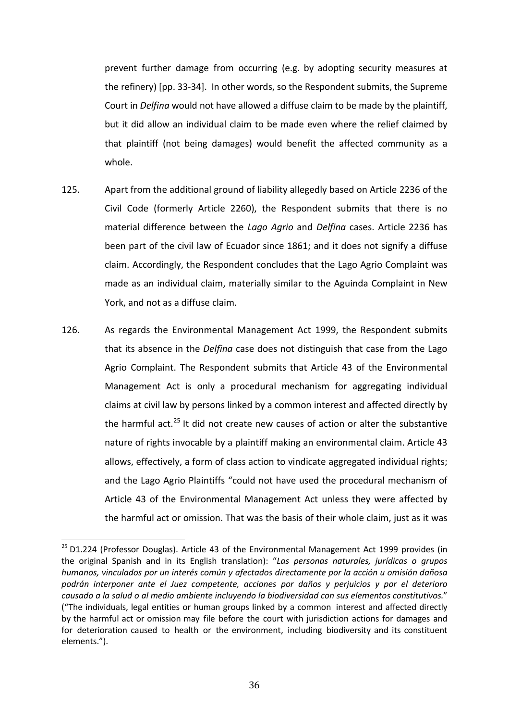prevent further damage from occurring (e.g. by adopting security measures at the refinery) [pp. 33-34]. In other words, so the Respondent submits, the Supreme Court in *Delfina* would not have allowed a diffuse claim to be made by the plaintiff, but it did allow an individual claim to be made even where the relief claimed by that plaintiff (not being damages) would benefit the affected community as a whole.

- 125. Apart from the additional ground of liability allegedly based on Article 2236 of the Civil Code (formerly Article 2260), the Respondent submits that there is no material difference between the *Lago Agrio* and *Delfina* cases. Article 2236 has been part of the civil law of Ecuador since 1861; and it does not signify a diffuse claim. Accordingly, the Respondent concludes that the Lago Agrio Complaint was made as an individual claim, materially similar to the Aguinda Complaint in New York, and not as a diffuse claim.
- 126. As regards the Environmental Management Act 1999, the Respondent submits that its absence in the *Delfina* case does not distinguish that case from the Lago Agrio Complaint. The Respondent submits that Article 43 of the Environmental Management Act is only a procedural mechanism for aggregating individual claims at civil law by persons linked by a common interest and affected directly by the harmful act. $^{25}$  It did not create new causes of action or alter the substantive nature of rights invocable by a plaintiff making an environmental claim. Article 43 allows, effectively, a form of class action to vindicate aggregated individual rights; and the Lago Agrio Plaintiffs "could not have used the procedural mechanism of Article 43 of the Environmental Management Act unless they were affected by the harmful act or omission. That was the basis of their whole claim, just as it was

<sup>&</sup>lt;sup>25</sup> D1.224 (Professor Douglas). Article 43 of the Environmental Management Act 1999 provides (in the original Spanish and in its English translation): "*Las personas naturales, jurídicas o grupos humanos, vinculados por un interés común y afectados directamente por la acción u omisión dañosa podrán interponer ante el Juez competente, acciones por daños y perjuicios y por el deterioro causado a la salud o al medio ambiente incluyendo la biodiversidad con sus elementos constitutivos.*" ("The individuals, legal entities or human groups linked by a common interest and affected directly by the harmful act or omission may file before the court with jurisdiction actions for damages and for deterioration caused to health or the environment, including biodiversity and its constituent elements.").  $\overline{ }$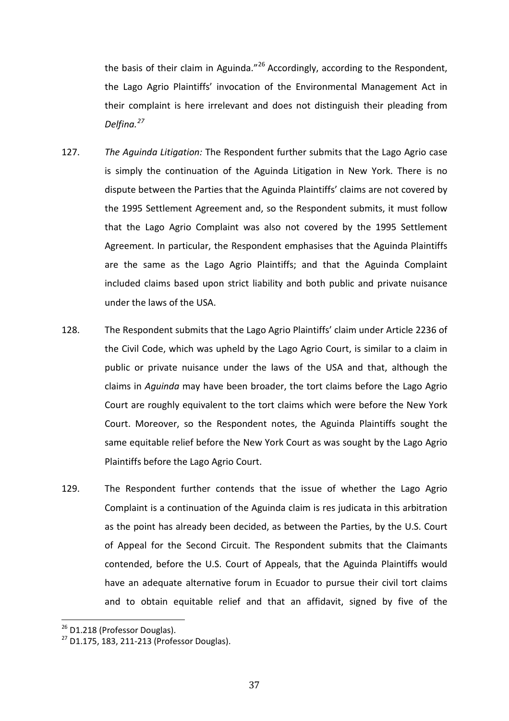the basis of their claim in Aguinda."<sup>26</sup> Accordingly, according to the Respondent, the Lago Agrio Plaintiffs' invocation of the Environmental Management Act in their complaint is here irrelevant and does not distinguish their pleading from *Delfina.<sup>27</sup>*

- 127. *The Aguinda Litigation:* The Respondent further submits that the Lago Agrio case is simply the continuation of the Aguinda Litigation in New York. There is no dispute between the Parties that the Aguinda Plaintiffs' claims are not covered by the 1995 Settlement Agreement and, so the Respondent submits, it must follow that the Lago Agrio Complaint was also not covered by the 1995 Settlement Agreement. In particular, the Respondent emphasises that the Aguinda Plaintiffs are the same as the Lago Agrio Plaintiffs; and that the Aguinda Complaint included claims based upon strict liability and both public and private nuisance under the laws of the USA.
- 128. The Respondent submits that the Lago Agrio Plaintiffs' claim under Article 2236 of the Civil Code, which was upheld by the Lago Agrio Court, is similar to a claim in public or private nuisance under the laws of the USA and that, although the claims in *Aguinda* may have been broader, the tort claims before the Lago Agrio Court are roughly equivalent to the tort claims which were before the New York Court. Moreover, so the Respondent notes, the Aguinda Plaintiffs sought the same equitable relief before the New York Court as was sought by the Lago Agrio Plaintiffs before the Lago Agrio Court.
- 129. The Respondent further contends that the issue of whether the Lago Agrio Complaint is a continuation of the Aguinda claim is res judicata in this arbitration as the point has already been decided, as between the Parties, by the U.S. Court of Appeal for the Second Circuit. The Respondent submits that the Claimants contended, before the U.S. Court of Appeals, that the Aguinda Plaintiffs would have an adequate alternative forum in Ecuador to pursue their civil tort claims and to obtain equitable relief and that an affidavit, signed by five of the

<sup>&</sup>lt;sup>26</sup> D1.218 (Professor Douglas).  $\overline{ }$ 

 $27$  D1.175, 183, 211-213 (Professor Douglas).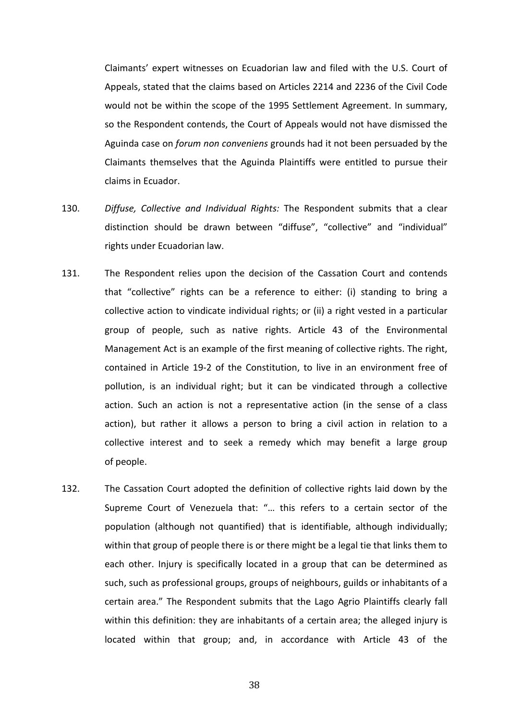Claimants' expert witnesses on Ecuadorian law and filed with the U.S. Court of Appeals, stated that the claims based on Articles 2214 and 2236 of the Civil Code would not be within the scope of the 1995 Settlement Agreement. In summary, so the Respondent contends, the Court of Appeals would not have dismissed the Aguinda case on *forum non conveniens* grounds had it not been persuaded by the Claimants themselves that the Aguinda Plaintiffs were entitled to pursue their claims in Ecuador.

- 130. *Diffuse, Collective and Individual Rights:* The Respondent submits that a clear distinction should be drawn between "diffuse", "collective" and "individual" rights under Ecuadorian law.
- 131. The Respondent relies upon the decision of the Cassation Court and contends that "collective" rights can be a reference to either: (i) standing to bring a collective action to vindicate individual rights; or (ii) a right vested in a particular group of people, such as native rights. Article 43 of the Environmental Management Act is an example of the first meaning of collective rights. The right, contained in Article 19-2 of the Constitution, to live in an environment free of pollution, is an individual right; but it can be vindicated through a collective action. Such an action is not a representative action (in the sense of a class action), but rather it allows a person to bring a civil action in relation to a collective interest and to seek a remedy which may benefit a large group of people.
- 132. The Cassation Court adopted the definition of collective rights laid down by the Supreme Court of Venezuela that: "… this refers to a certain sector of the population (although not quantified) that is identifiable, although individually; within that group of people there is or there might be a legal tie that links them to each other. Injury is specifically located in a group that can be determined as such, such as professional groups, groups of neighbours, guilds or inhabitants of a certain area." The Respondent submits that the Lago Agrio Plaintiffs clearly fall within this definition: they are inhabitants of a certain area; the alleged injury is located within that group; and, in accordance with Article 43 of the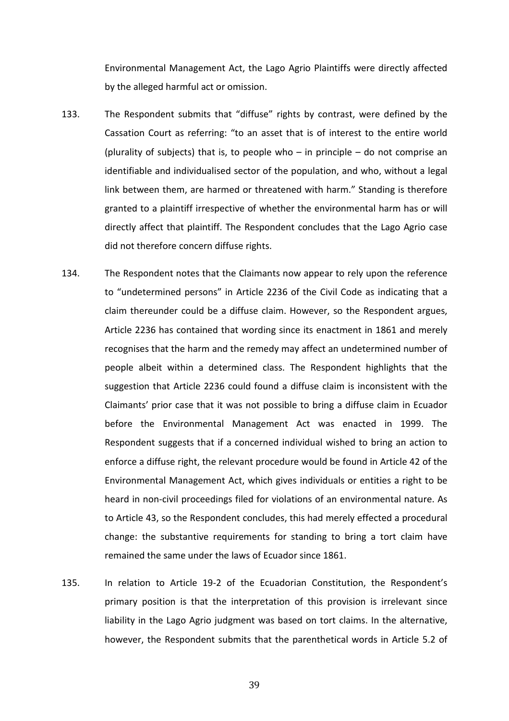Environmental Management Act, the Lago Agrio Plaintiffs were directly affected by the alleged harmful act or omission.

- 133. The Respondent submits that "diffuse" rights by contrast, were defined by the Cassation Court as referring: "to an asset that is of interest to the entire world (plurality of subjects) that is, to people who  $-$  in principle  $-$  do not comprise an identifiable and individualised sector of the population, and who, without a legal link between them, are harmed or threatened with harm." Standing is therefore granted to a plaintiff irrespective of whether the environmental harm has or will directly affect that plaintiff. The Respondent concludes that the Lago Agrio case did not therefore concern diffuse rights.
- 134. The Respondent notes that the Claimants now appear to rely upon the reference to "undetermined persons" in Article 2236 of the Civil Code as indicating that a claim thereunder could be a diffuse claim. However, so the Respondent argues, Article 2236 has contained that wording since its enactment in 1861 and merely recognises that the harm and the remedy may affect an undetermined number of people albeit within a determined class. The Respondent highlights that the suggestion that Article 2236 could found a diffuse claim is inconsistent with the Claimants' prior case that it was not possible to bring a diffuse claim in Ecuador before the Environmental Management Act was enacted in 1999. The Respondent suggests that if a concerned individual wished to bring an action to enforce a diffuse right, the relevant procedure would be found in Article 42 of the Environmental Management Act, which gives individuals or entities a right to be heard in non-civil proceedings filed for violations of an environmental nature. As to Article 43, so the Respondent concludes, this had merely effected a procedural change: the substantive requirements for standing to bring a tort claim have remained the same under the laws of Ecuador since 1861.
- 135. In relation to Article 19-2 of the Ecuadorian Constitution, the Respondent's primary position is that the interpretation of this provision is irrelevant since liability in the Lago Agrio judgment was based on tort claims. In the alternative, however, the Respondent submits that the parenthetical words in Article 5.2 of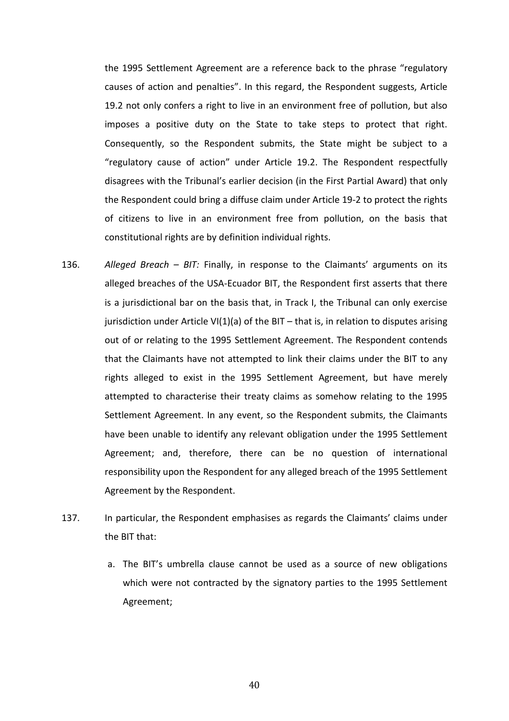the 1995 Settlement Agreement are a reference back to the phrase "regulatory causes of action and penalties". In this regard, the Respondent suggests, Article 19.2 not only confers a right to live in an environment free of pollution, but also imposes a positive duty on the State to take steps to protect that right. Consequently, so the Respondent submits, the State might be subject to a "regulatory cause of action" under Article 19.2. The Respondent respectfully disagrees with the Tribunal's earlier decision (in the First Partial Award) that only the Respondent could bring a diffuse claim under Article 19-2 to protect the rights of citizens to live in an environment free from pollution, on the basis that constitutional rights are by definition individual rights.

- 136. *Alleged Breach – BIT:* Finally, in response to the Claimants' arguments on its alleged breaches of the USA-Ecuador BIT, the Respondent first asserts that there is a jurisdictional bar on the basis that, in Track I, the Tribunal can only exercise jurisdiction under Article VI(1)(a) of the BIT - that is, in relation to disputes arising out of or relating to the 1995 Settlement Agreement. The Respondent contends that the Claimants have not attempted to link their claims under the BIT to any rights alleged to exist in the 1995 Settlement Agreement, but have merely attempted to characterise their treaty claims as somehow relating to the 1995 Settlement Agreement. In any event, so the Respondent submits, the Claimants have been unable to identify any relevant obligation under the 1995 Settlement Agreement; and, therefore, there can be no question of international responsibility upon the Respondent for any alleged breach of the 1995 Settlement Agreement by the Respondent.
- 137. In particular, the Respondent emphasises as regards the Claimants' claims under the BIT that:
	- a. The BIT's umbrella clause cannot be used as a source of new obligations which were not contracted by the signatory parties to the 1995 Settlement Agreement;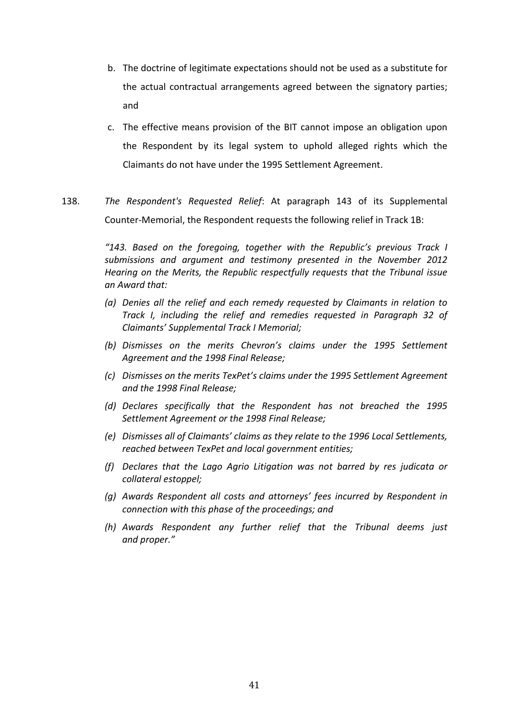- b. The doctrine of legitimate expectations should not be used as a substitute for the actual contractual arrangements agreed between the signatory parties; and
- c. The effective means provision of the BIT cannot impose an obligation upon the Respondent by its legal system to uphold alleged rights which the Claimants do not have under the 1995 Settlement Agreement.
- 138. *The Respondent's Requested Relief*: At paragraph 143 of its Supplemental Counter-Memorial, the Respondent requests the following relief in Track 1B:

*"143. Based on the foregoing, together with the Republic's previous Track I submissions and argument and testimony presented in the November 2012 Hearing on the Merits, the Republic respectfully requests that the Tribunal issue an Award that:*

- *(a) Denies all the relief and each remedy requested by Claimants in relation to Track I, including the relief and remedies requested in Paragraph 32 of Claimants' Supplemental Track I Memorial;*
- *(b) Dismisses on the merits Chevron's claims under the 1995 Settlement Agreement and the 1998 Final Release;*
- *(c) Dismisses on the merits TexPet's claims under the 1995 Settlement Agreement and the 1998 Final Release;*
- *(d) Declares specifically that the Respondent has not breached the 1995 Settlement Agreement or the 1998 Final Release;*
- *(e) Dismisses all of Claimants' claims as they relate to the 1996 Local Settlements, reached between TexPet and local government entities;*
- *(f) Declares that the Lago Agrio Litigation was not barred by res judicata or collateral estoppel;*
- *(g) Awards Respondent all costs and attorneys' fees incurred by Respondent in connection with this phase of the proceedings; and*
- *(h) Awards Respondent any further relief that the Tribunal deems just and proper."*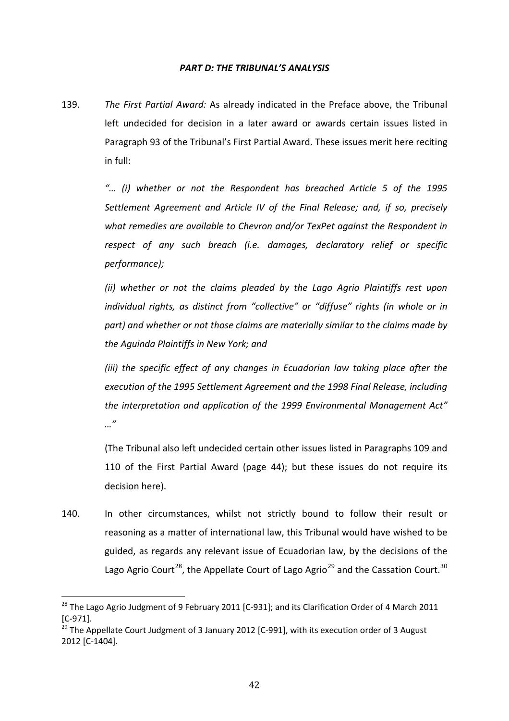#### *PART D: THE TRIBUNAL'S ANALYSIS*

139. *The First Partial Award:* As already indicated in the Preface above, the Tribunal left undecided for decision in a later award or awards certain issues listed in Paragraph 93 of the Tribunal's First Partial Award. These issues merit here reciting in full:

> *"… (i) whether or not the Respondent has breached Article 5 of the 1995 Settlement Agreement and Article IV of the Final Release; and, if so, precisely what remedies are available to Chevron and/or TexPet against the Respondent in*  respect of any such breach (i.e. damages, declaratory relief or specific *performance);*

> *(ii) whether or not the claims pleaded by the Lago Agrio Plaintiffs rest upon individual rights, as distinct from "collective" or "diffuse" rights (in whole or in part) and whether or not those claims are materially similar to the claims made by the Aguinda Plaintiffs in New York; and*

> *(iii)* the specific effect of any changes in Ecuadorian law taking place after the *execution of the 1995 Settlement Agreement and the 1998 Final Release, including the interpretation and application of the 1999 Environmental Management Act" …"*

> (The Tribunal also left undecided certain other issues listed in Paragraphs 109 and 110 of the First Partial Award (page 44); but these issues do not require its decision here).

140. In other circumstances, whilst not strictly bound to follow their result or reasoning as a matter of international law, this Tribunal would have wished to be guided, as regards any relevant issue of Ecuadorian law, by the decisions of the Lago Agrio Court<sup>28</sup>, the Appellate Court of Lago Agrio<sup>29</sup> and the Cassation Court.<sup>30</sup>

 $^{28}$  The Lago Agrio Judgment of 9 February 2011 [C-931]; and its Clarification Order of 4 March 2011 [C-971].  $\overline{ }$ 

<sup>&</sup>lt;sup>29</sup> The Appellate Court Judgment of 3 January 2012 [C-991], with its execution order of 3 August 2012 [C-1404].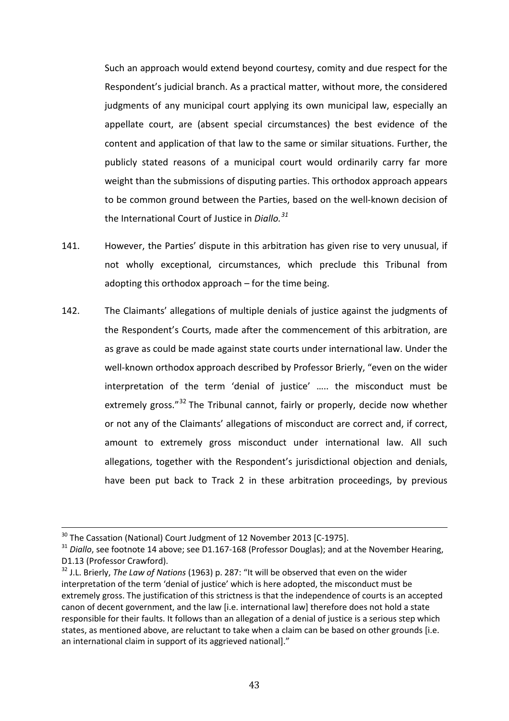Such an approach would extend beyond courtesy, comity and due respect for the Respondent's judicial branch. As a practical matter, without more, the considered judgments of any municipal court applying its own municipal law, especially an appellate court, are (absent special circumstances) the best evidence of the content and application of that law to the same or similar situations. Further, the publicly stated reasons of a municipal court would ordinarily carry far more weight than the submissions of disputing parties. This orthodox approach appears to be common ground between the Parties, based on the well-known decision of the International Court of Justice in *Diallo.<sup>31</sup>*

- 141. However, the Parties' dispute in this arbitration has given rise to very unusual, if not wholly exceptional, circumstances, which preclude this Tribunal from adopting this orthodox approach – for the time being.
- 142. The Claimants' allegations of multiple denials of justice against the judgments of the Respondent's Courts, made after the commencement of this arbitration, are as grave as could be made against state courts under international law. Under the well-known orthodox approach described by Professor Brierly, "even on the wider interpretation of the term 'denial of justice' ….. the misconduct must be extremely gross."<sup>32</sup> The Tribunal cannot, fairly or properly, decide now whether or not any of the Claimants' allegations of misconduct are correct and, if correct, amount to extremely gross misconduct under international law. All such allegations, together with the Respondent's jurisdictional objection and denials, have been put back to Track 2 in these arbitration proceedings, by previous

 $^{30}$  The Cassation (National) Court Judgment of 12 November 2013 [C-1975].  $\overline{ }$ 

<sup>&</sup>lt;sup>31</sup> Diallo, see footnote 14 above; see D1.167-168 (Professor Douglas); and at the November Hearing, D1.13 (Professor Crawford).

<sup>32</sup> J.L. Brierly, *The Law of Nations* (1963) p. 287: "It will be observed that even on the wider interpretation of the term 'denial of justice' which is here adopted, the misconduct must be extremely gross. The justification of this strictness is that the independence of courts is an accepted canon of decent government, and the law [i.e. international law] therefore does not hold a state responsible for their faults. It follows than an allegation of a denial of justice is a serious step which states, as mentioned above, are reluctant to take when a claim can be based on other grounds [i.e. an international claim in support of its aggrieved national]."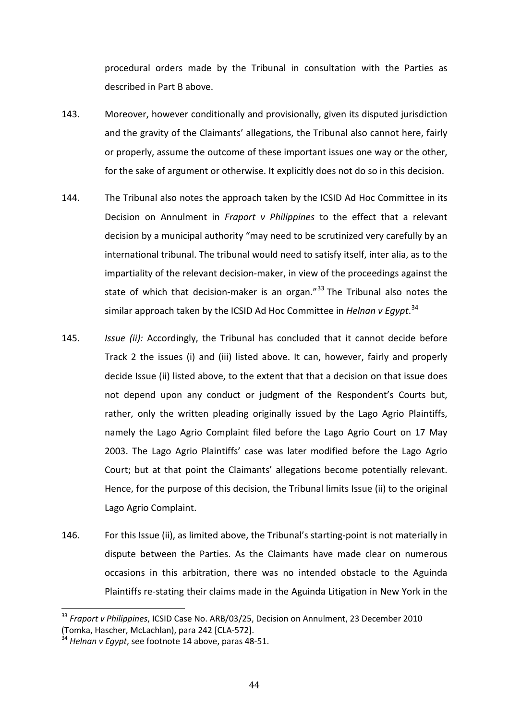procedural orders made by the Tribunal in consultation with the Parties as described in Part B above.

- 143. Moreover, however conditionally and provisionally, given its disputed jurisdiction and the gravity of the Claimants' allegations, the Tribunal also cannot here, fairly or properly, assume the outcome of these important issues one way or the other, for the sake of argument or otherwise. It explicitly does not do so in this decision.
- 144. The Tribunal also notes the approach taken by the ICSID Ad Hoc Committee in its Decision on Annulment in *Fraport v Philippines* to the effect that a relevant decision by a municipal authority "may need to be scrutinized very carefully by an international tribunal. The tribunal would need to satisfy itself, inter alia, as to the impartiality of the relevant decision-maker, in view of the proceedings against the state of which that decision-maker is an organ." $33$  The Tribunal also notes the similar approach taken by the ICSID Ad Hoc Committee in *Helnan v Egypt*. 34
- 145. *Issue (ii):* Accordingly, the Tribunal has concluded that it cannot decide before Track 2 the issues (i) and (iii) listed above. It can, however, fairly and properly decide Issue (ii) listed above, to the extent that that a decision on that issue does not depend upon any conduct or judgment of the Respondent's Courts but, rather, only the written pleading originally issued by the Lago Agrio Plaintiffs, namely the Lago Agrio Complaint filed before the Lago Agrio Court on 17 May 2003. The Lago Agrio Plaintiffs' case was later modified before the Lago Agrio Court; but at that point the Claimants' allegations become potentially relevant. Hence, for the purpose of this decision, the Tribunal limits Issue (ii) to the original Lago Agrio Complaint.
- 146. For this Issue (ii), as limited above, the Tribunal's starting-point is not materially in dispute between the Parties. As the Claimants have made clear on numerous occasions in this arbitration, there was no intended obstacle to the Aguinda Plaintiffs re-stating their claims made in the Aguinda Litigation in New York in the

<sup>33</sup> *Fraport v Philippines*, ICSID Case No. ARB/03/25, Decision on Annulment, 23 December 2010 (Tomka, Hascher, McLachlan), para 242 [CLA-572].  $\overline{\phantom{0}}$ 

<sup>34</sup> *Helnan v Egypt*, see footnote 14 above, paras 48-51.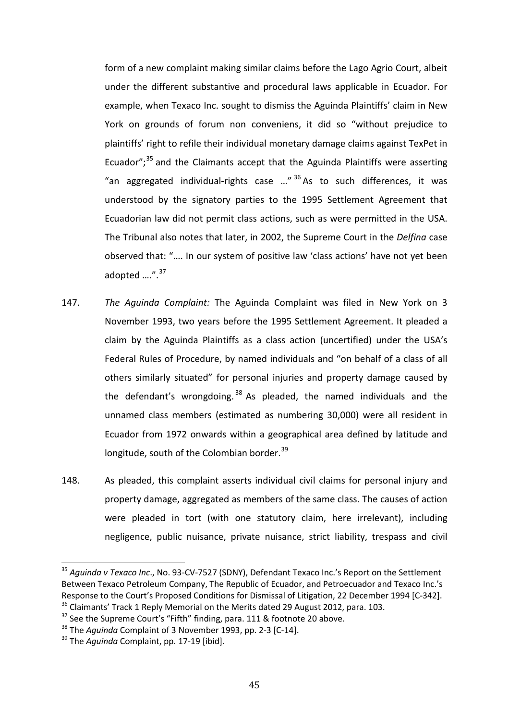form of a new complaint making similar claims before the Lago Agrio Court, albeit under the different substantive and procedural laws applicable in Ecuador. For example, when Texaco Inc. sought to dismiss the Aguinda Plaintiffs' claim in New York on grounds of forum non conveniens, it did so "without prejudice to plaintiffs' right to refile their individual monetary damage claims against TexPet in Ecuador"; $35$  and the Claimants accept that the Aguinda Plaintiffs were asserting "an aggregated individual-rights case ..."  $36$  As to such differences, it was understood by the signatory parties to the 1995 Settlement Agreement that Ecuadorian law did not permit class actions, such as were permitted in the USA. The Tribunal also notes that later, in 2002, the Supreme Court in the *Delfina* case observed that: "…. In our system of positive law 'class actions' have not yet been adopted ....".<sup>37</sup>

- 147. *The Aguinda Complaint:* The Aguinda Complaint was filed in New York on 3 November 1993, two years before the 1995 Settlement Agreement. It pleaded a claim by the Aguinda Plaintiffs as a class action (uncertified) under the USA's Federal Rules of Procedure, by named individuals and "on behalf of a class of all others similarly situated" for personal injuries and property damage caused by the defendant's wrongdoing.<sup>38</sup> As pleaded, the named individuals and the unnamed class members (estimated as numbering 30,000) were all resident in Ecuador from 1972 onwards within a geographical area defined by latitude and longitude, south of the Colombian border.<sup>39</sup>
- 148. As pleaded, this complaint asserts individual civil claims for personal injury and property damage, aggregated as members of the same class. The causes of action were pleaded in tort (with one statutory claim, here irrelevant), including negligence, public nuisance, private nuisance, strict liability, trespass and civil

<sup>35</sup> *Aguinda v Texaco Inc*., No. 93-CV-7527 (SDNY), Defendant Texaco Inc.'s Report on the Settlement Between Texaco Petroleum Company, The Republic of Ecuador, and Petroecuador and Texaco Inc.'s Response to the Court's Proposed Conditions for Dismissal of Litigation, 22 December 1994 [C-342].  $\overline{\phantom{0}}$ 

 $36$  Claimants' Track 1 Reply Memorial on the Merits dated 29 August 2012, para. 103.

 $37$  See the Supreme Court's "Fifth" finding, para. 111 & footnote 20 above.

<sup>38</sup> The *Aguinda* Complaint of 3 November 1993, pp. 2-3 [C-14].

<sup>&</sup>lt;sup>39</sup> The *Aquinda* Complaint, pp. 17-19 [ibid].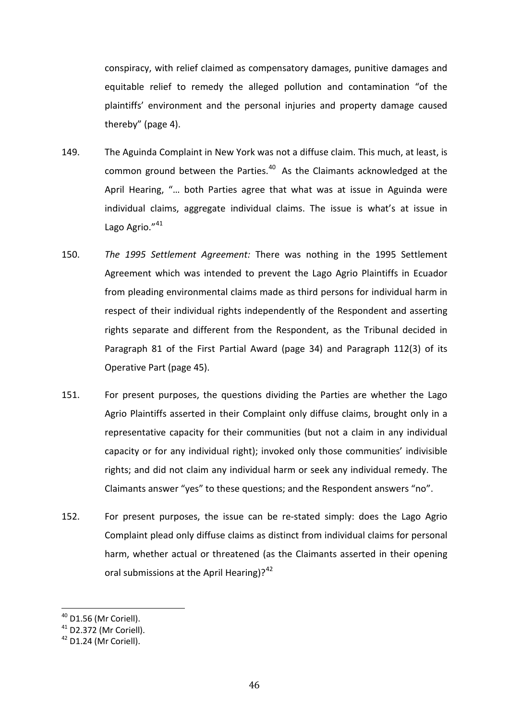conspiracy, with relief claimed as compensatory damages, punitive damages and equitable relief to remedy the alleged pollution and contamination "of the plaintiffs' environment and the personal injuries and property damage caused thereby" (page 4).

- 149. The Aguinda Complaint in New York was not a diffuse claim. This much, at least, is common ground between the Parties. $40$  As the Claimants acknowledged at the April Hearing, "… both Parties agree that what was at issue in Aguinda were individual claims, aggregate individual claims. The issue is what's at issue in Lago Agrio."<sup>41</sup>
- 150. *The 1995 Settlement Agreement:* There was nothing in the 1995 Settlement Agreement which was intended to prevent the Lago Agrio Plaintiffs in Ecuador from pleading environmental claims made as third persons for individual harm in respect of their individual rights independently of the Respondent and asserting rights separate and different from the Respondent, as the Tribunal decided in Paragraph 81 of the First Partial Award (page 34) and Paragraph 112(3) of its Operative Part (page 45).
- 151. For present purposes, the questions dividing the Parties are whether the Lago Agrio Plaintiffs asserted in their Complaint only diffuse claims, brought only in a representative capacity for their communities (but not a claim in any individual capacity or for any individual right); invoked only those communities' indivisible rights; and did not claim any individual harm or seek any individual remedy. The Claimants answer "yes" to these questions; and the Respondent answers "no".
- 152. For present purposes, the issue can be re-stated simply: does the Lago Agrio Complaint plead only diffuse claims as distinct from individual claims for personal harm, whether actual or threatened (as the Claimants asserted in their opening oral submissions at the April Hearing)? $42$

 $^{40}$  D1.56 (Mr Coriell).  $\overline{a}$ 

<sup>41</sup> D2.372 (Mr Coriell).

 $42$  D1.24 (Mr Coriell).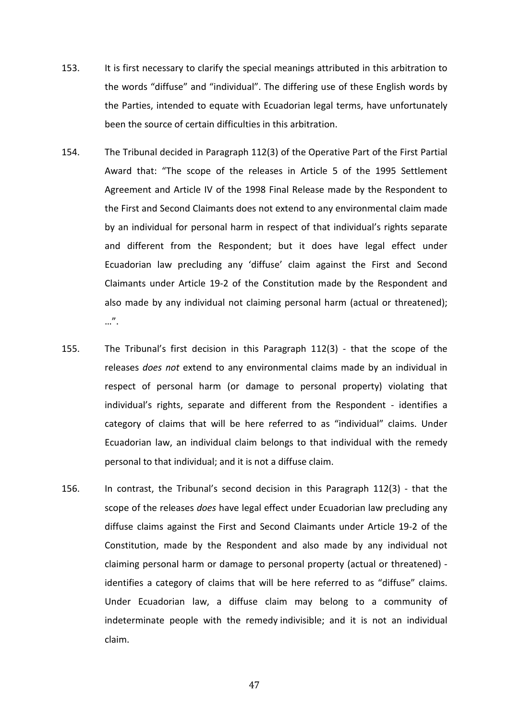- 153. It is first necessary to clarify the special meanings attributed in this arbitration to the words "diffuse" and "individual". The differing use of these English words by the Parties, intended to equate with Ecuadorian legal terms, have unfortunately been the source of certain difficulties in this arbitration.
- 154. The Tribunal decided in Paragraph 112(3) of the Operative Part of the First Partial Award that: "The scope of the releases in Article 5 of the 1995 Settlement Agreement and Article IV of the 1998 Final Release made by the Respondent to the First and Second Claimants does not extend to any environmental claim made by an individual for personal harm in respect of that individual's rights separate and different from the Respondent; but it does have legal effect under Ecuadorian law precluding any 'diffuse' claim against the First and Second Claimants under Article 19-2 of the Constitution made by the Respondent and also made by any individual not claiming personal harm (actual or threatened); …".
- 155. The Tribunal's first decision in this Paragraph 112(3) that the scope of the releases *does not* extend to any environmental claims made by an individual in respect of personal harm (or damage to personal property) violating that individual's rights, separate and different from the Respondent - identifies a category of claims that will be here referred to as "individual" claims. Under Ecuadorian law, an individual claim belongs to that individual with the remedy personal to that individual; and it is not a diffuse claim.
- 156. In contrast, the Tribunal's second decision in this Paragraph 112(3) that the scope of the releases *does* have legal effect under Ecuadorian law precluding any diffuse claims against the First and Second Claimants under Article 19-2 of the Constitution, made by the Respondent and also made by any individual not claiming personal harm or damage to personal property (actual or threatened) identifies a category of claims that will be here referred to as "diffuse" claims. Under Ecuadorian law, a diffuse claim may belong to a community of indeterminate people with the remedy indivisible; and it is not an individual claim.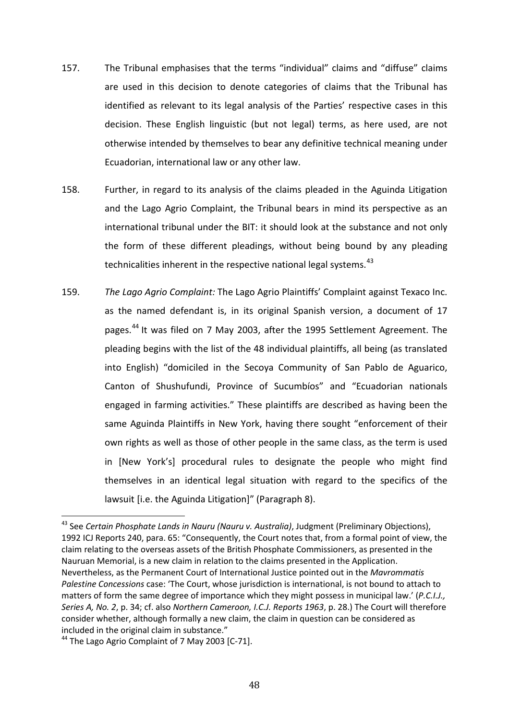- 157. The Tribunal emphasises that the terms "individual" claims and "diffuse" claims are used in this decision to denote categories of claims that the Tribunal has identified as relevant to its legal analysis of the Parties' respective cases in this decision. These English linguistic (but not legal) terms, as here used, are not otherwise intended by themselves to bear any definitive technical meaning under Ecuadorian, international law or any other law.
- 158. Further, in regard to its analysis of the claims pleaded in the Aguinda Litigation and the Lago Agrio Complaint, the Tribunal bears in mind its perspective as an international tribunal under the BIT: it should look at the substance and not only the form of these different pleadings, without being bound by any pleading technicalities inherent in the respective national legal systems.<sup>43</sup>
- 159. *The Lago Agrio Complaint:* The Lago Agrio Plaintiffs' Complaint against Texaco Inc. as the named defendant is, in its original Spanish version, a document of 17 pages.<sup>44</sup> It was filed on 7 May 2003, after the 1995 Settlement Agreement. The pleading begins with the list of the 48 individual plaintiffs, all being (as translated into English) "domiciled in the Secoya Community of San Pablo de Aguarico, Canton of Shushufundi, Province of Sucumbíos" and "Ecuadorian nationals engaged in farming activities." These plaintiffs are described as having been the same Aguinda Plaintiffs in New York, having there sought "enforcement of their own rights as well as those of other people in the same class, as the term is used in [New York's] procedural rules to designate the people who might find themselves in an identical legal situation with regard to the specifics of the lawsuit [i.e. the Aguinda Litigation]" (Paragraph 8).

<sup>43</sup> See *Certain Phosphate Lands in Nauru (Nauru v. Australia)*, Judgment (Preliminary Objections), 1992 ICJ Reports 240, para. 65: "Consequently, the Court notes that, from a formal point of view, the claim relating to the overseas assets of the British Phosphate Commissioners, as presented in the Nauruan Memorial, is a new claim in relation to the claims presented in the Application. Nevertheless, as the Permanent Court of International Justice pointed out in the *Mavrommatis Palestine Concessions* case: 'The Court, whose jurisdiction is international, is not bound to attach to matters of form the same degree of importance which they might possess in municipal law.' (*P.C.I.J., Series A, No. 2*, p. 34; cf. also *Northern Cameroon, I.C.J. Reports 1963*, p. 28.) The Court will therefore consider whether, although formally a new claim, the claim in question can be considered as included in the original claim in substance."  $\overline{a}$ 

<sup>&</sup>lt;sup>44</sup> The Lago Agrio Complaint of 7 May 2003 [C-71].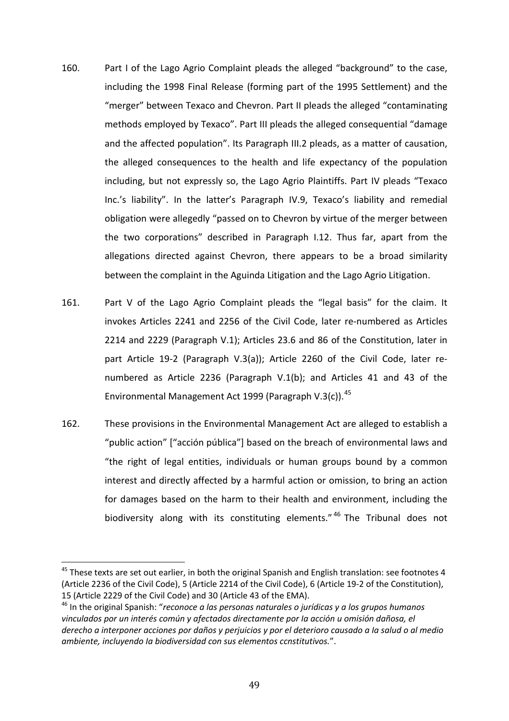- 160. Part I of the Lago Agrio Complaint pleads the alleged "background" to the case, including the 1998 Final Release (forming part of the 1995 Settlement) and the "merger" between Texaco and Chevron. Part II pleads the alleged "contaminating methods employed by Texaco". Part III pleads the alleged consequential "damage and the affected population". Its Paragraph III.2 pleads, as a matter of causation, the alleged consequences to the health and life expectancy of the population including, but not expressly so, the Lago Agrio Plaintiffs. Part IV pleads "Texaco Inc.'s liability". In the latter's Paragraph IV.9, Texaco's liability and remedial obligation were allegedly "passed on to Chevron by virtue of the merger between the two corporations" described in Paragraph I.12. Thus far, apart from the allegations directed against Chevron, there appears to be a broad similarity between the complaint in the Aguinda Litigation and the Lago Agrio Litigation.
- 161. Part V of the Lago Agrio Complaint pleads the "legal basis" for the claim. It invokes Articles 2241 and 2256 of the Civil Code, later re-numbered as Articles 2214 and 2229 (Paragraph V.1); Articles 23.6 and 86 of the Constitution, later in part Article 19-2 (Paragraph V.3(a)); Article 2260 of the Civil Code, later renumbered as Article 2236 (Paragraph V.1(b); and Articles 41 and 43 of the Environmental Management Act 1999 (Paragraph V.3(c)).<sup>45</sup>
- 162. These provisions in the Environmental Management Act are alleged to establish a "public action" ["acción pública"] based on the breach of environmental laws and "the right of legal entities, individuals or human groups bound by a common interest and directly affected by a harmful action or omission, to bring an action for damages based on the harm to their health and environment, including the biodiversity along with its constituting elements."<sup>46</sup> The Tribunal does not

 $^{45}$  These texts are set out earlier, in both the original Spanish and English translation: see footnotes 4 (Article 2236 of the Civil Code), 5 (Article 2214 of the Civil Code), 6 (Article 19-2 of the Constitution), 15 (Article 2229 of the Civil Code) and 30 (Article 43 of the EMA).  $\overline{a}$ 

<sup>46</sup> In the original Spanish: "*reconoce a las personas naturales o jurídicas y a los grupos humanos vinculados por un interés común y afectados directamente por Ia acción u omisión dañosa, el derecho a interponer acciones por daños y perjuicios y por el deterioro causado a Ia salud o al medio ambiente, incluyendo Ia biodiversidad con sus elementos ccnstitutivos.*".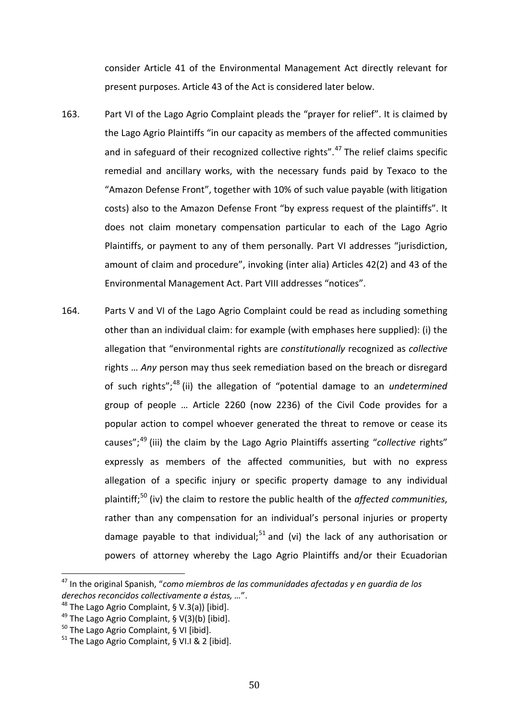consider Article 41 of the Environmental Management Act directly relevant for present purposes. Article 43 of the Act is considered later below.

- 163. Part VI of the Lago Agrio Complaint pleads the "prayer for relief". It is claimed by the Lago Agrio Plaintiffs "in our capacity as members of the affected communities and in safeguard of their recognized collective rights".<sup>47</sup> The relief claims specific remedial and ancillary works, with the necessary funds paid by Texaco to the "Amazon Defense Front", together with 10% of such value payable (with litigation costs) also to the Amazon Defense Front "by express request of the plaintiffs". It does not claim monetary compensation particular to each of the Lago Agrio Plaintiffs, or payment to any of them personally. Part VI addresses "jurisdiction, amount of claim and procedure", invoking (inter alia) Articles 42(2) and 43 of the Environmental Management Act. Part VIII addresses "notices".
- 164. Parts V and VI of the Lago Agrio Complaint could be read as including something other than an individual claim: for example (with emphases here supplied): (i) the allegation that "environmental rights are *constitutionally* recognized as *collective* rights … *Any* person may thus seek remediation based on the breach or disregard of such rights"; <sup>48</sup> (ii) the allegation of "potential damage to an *undetermined*  group of people … Article 2260 (now 2236) of the Civil Code provides for a popular action to compel whoever generated the threat to remove or cease its causes";<sup>49</sup> (iii) the claim by the Lago Agrio Plaintiffs asserting "*collective* rights" expressly as members of the affected communities, but with no express allegation of a specific injury or specific property damage to any individual plaintiff; <sup>50</sup> (iv) the claim to restore the public health of the *affected communities*, rather than any compensation for an individual's personal injuries or property damage payable to that individual;<sup>51</sup> and (vi) the lack of any authorisation or powers of attorney whereby the Lago Agrio Plaintiffs and/or their Ecuadorian

<sup>47</sup> In the original Spanish, "*como miembros de las communidades afectadas y en guardia de los derechos reconcidos collectivamente a éstas, …*".  $\overline{a}$ 

<sup>&</sup>lt;sup>48</sup> The Lago Agrio Complaint, § V.3(a)) [ibid].

<sup>&</sup>lt;sup>49</sup> The Lago Agrio Complaint, §  $V(3)(b)$  [ibid].

 $50$  The Lago Agrio Complaint, § VI [ibid].

 $51$  The Lago Agrio Complaint, § VI.I & 2 [ibid].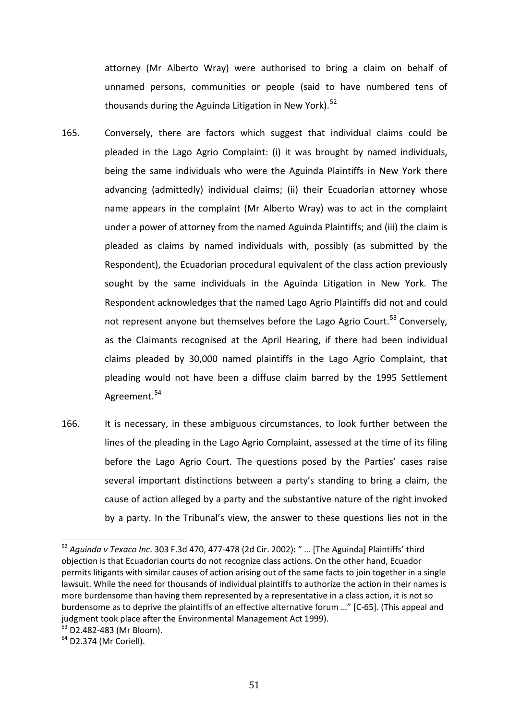attorney (Mr Alberto Wray) were authorised to bring a claim on behalf of unnamed persons, communities or people (said to have numbered tens of thousands during the Aguinda Litigation in New York).<sup>52</sup>

- 165. Conversely, there are factors which suggest that individual claims could be pleaded in the Lago Agrio Complaint: (i) it was brought by named individuals, being the same individuals who were the Aguinda Plaintiffs in New York there advancing (admittedly) individual claims; (ii) their Ecuadorian attorney whose name appears in the complaint (Mr Alberto Wray) was to act in the complaint under a power of attorney from the named Aguinda Plaintiffs; and (iii) the claim is pleaded as claims by named individuals with, possibly (as submitted by the Respondent), the Ecuadorian procedural equivalent of the class action previously sought by the same individuals in the Aguinda Litigation in New York. The Respondent acknowledges that the named Lago Agrio Plaintiffs did not and could not represent anyone but themselves before the Lago Agrio Court.<sup>53</sup> Conversely, as the Claimants recognised at the April Hearing, if there had been individual claims pleaded by 30,000 named plaintiffs in the Lago Agrio Complaint, that pleading would not have been a diffuse claim barred by the 1995 Settlement Agreement.<sup>54</sup>
- 166. It is necessary, in these ambiguous circumstances, to look further between the lines of the pleading in the Lago Agrio Complaint, assessed at the time of its filing before the Lago Agrio Court. The questions posed by the Parties' cases raise several important distinctions between a party's standing to bring a claim, the cause of action alleged by a party and the substantive nature of the right invoked by a party. In the Tribunal's view, the answer to these questions lies not in the

<sup>52</sup> *Aguinda v Texaco Inc*. 303 F.3d 470, 477-478 (2d Cir. 2002): " … [The Aguinda] Plaintiffs' third objection is that Ecuadorian courts do not recognize class actions. On the other hand, Ecuador permits litigants with similar causes of action arising out of the same facts to join together in a single lawsuit. While the need for thousands of individual plaintiffs to authorize the action in their names is more burdensome than having them represented by a representative in a class action, it is not so burdensome as to deprive the plaintiffs of an effective alternative forum …" [C-65]. (This appeal and judgment took place after the Environmental Management Act 1999). l<br>F

<sup>53</sup> D2.482-483 (Mr Bloom).

<sup>&</sup>lt;sup>54</sup> D2.374 (Mr Coriell).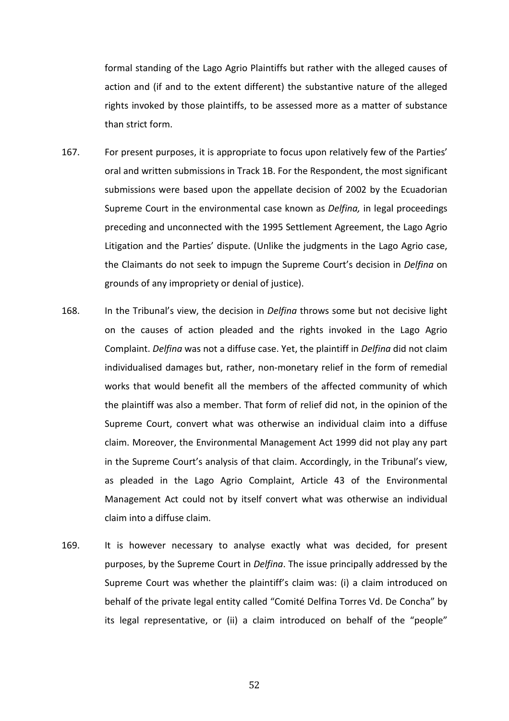formal standing of the Lago Agrio Plaintiffs but rather with the alleged causes of action and (if and to the extent different) the substantive nature of the alleged rights invoked by those plaintiffs, to be assessed more as a matter of substance than strict form.

- 167. For present purposes, it is appropriate to focus upon relatively few of the Parties' oral and written submissions in Track 1B. For the Respondent, the most significant submissions were based upon the appellate decision of 2002 by the Ecuadorian Supreme Court in the environmental case known as *Delfina,* in legal proceedings preceding and unconnected with the 1995 Settlement Agreement, the Lago Agrio Litigation and the Parties' dispute. (Unlike the judgments in the Lago Agrio case, the Claimants do not seek to impugn the Supreme Court's decision in *Delfina* on grounds of any impropriety or denial of justice).
- 168. In the Tribunal's view, the decision in *Delfina* throws some but not decisive light on the causes of action pleaded and the rights invoked in the Lago Agrio Complaint. *Delfina* was not a diffuse case. Yet, the plaintiff in *Delfina* did not claim individualised damages but, rather, non-monetary relief in the form of remedial works that would benefit all the members of the affected community of which the plaintiff was also a member. That form of relief did not, in the opinion of the Supreme Court, convert what was otherwise an individual claim into a diffuse claim. Moreover, the Environmental Management Act 1999 did not play any part in the Supreme Court's analysis of that claim. Accordingly, in the Tribunal's view, as pleaded in the Lago Agrio Complaint, Article 43 of the Environmental Management Act could not by itself convert what was otherwise an individual claim into a diffuse claim.
- 169. It is however necessary to analyse exactly what was decided, for present purposes, by the Supreme Court in *Delfina*. The issue principally addressed by the Supreme Court was whether the plaintiff's claim was: (i) a claim introduced on behalf of the private legal entity called "Comité Delfina Torres Vd. De Concha" by its legal representative, or (ii) a claim introduced on behalf of the "people"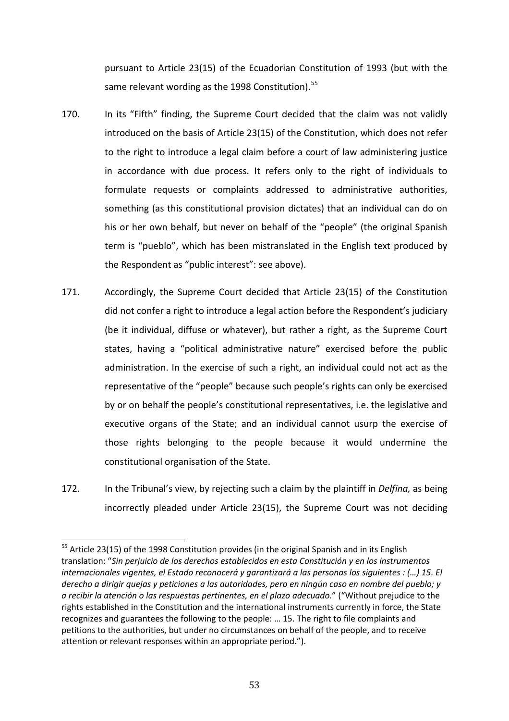pursuant to Article 23(15) of the Ecuadorian Constitution of 1993 (but with the same relevant wording as the 1998 Constitution).<sup>55</sup>

- 170. In its "Fifth" finding, the Supreme Court decided that the claim was not validly introduced on the basis of Article 23(15) of the Constitution, which does not refer to the right to introduce a legal claim before a court of law administering justice in accordance with due process. It refers only to the right of individuals to formulate requests or complaints addressed to administrative authorities, something (as this constitutional provision dictates) that an individual can do on his or her own behalf, but never on behalf of the "people" (the original Spanish term is "pueblo", which has been mistranslated in the English text produced by the Respondent as "public interest": see above).
- 171. Accordingly, the Supreme Court decided that Article 23(15) of the Constitution did not confer a right to introduce a legal action before the Respondent's judiciary (be it individual, diffuse or whatever), but rather a right, as the Supreme Court states, having a "political administrative nature" exercised before the public administration. In the exercise of such a right, an individual could not act as the representative of the "people" because such people's rights can only be exercised by or on behalf the people's constitutional representatives, i.e. the legislative and executive organs of the State; and an individual cannot usurp the exercise of those rights belonging to the people because it would undermine the constitutional organisation of the State.
- 172. In the Tribunal's view, by rejecting such a claim by the plaintiff in *Delfina,* as being incorrectly pleaded under Article 23(15), the Supreme Court was not deciding

<sup>&</sup>lt;sup>55</sup> Article 23(15) of the 1998 Constitution provides (in the original Spanish and in its English translation: "*Sin perjuicio de los derechos establecidos en esta Constitución y en los instrumentos internacionales vigentes, el Estado reconocerá y garantizará a las personas los siguientes : (…) 15. El derecho a dirigir quejas y peticiones a las autoridades, pero en ningún caso en nombre del pueblo; y a recibir la atención o las respuestas pertinentes, en el plazo adecuado.*" ("Without prejudice to the rights established in the Constitution and the international instruments currently in force, the State recognizes and guarantees the following to the people: … 15. The right to file complaints and petitions to the authorities, but under no circumstances on behalf of the people, and to receive attention or relevant responses within an appropriate period."). l<br>F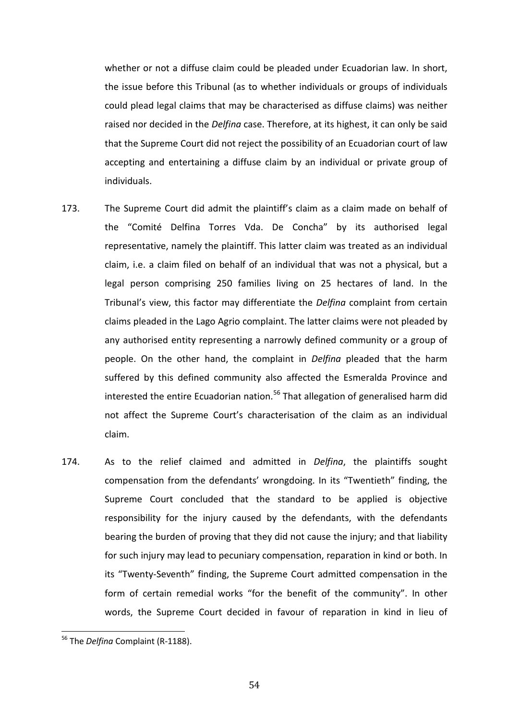whether or not a diffuse claim could be pleaded under Ecuadorian law. In short, the issue before this Tribunal (as to whether individuals or groups of individuals could plead legal claims that may be characterised as diffuse claims) was neither raised nor decided in the *Delfina* case. Therefore, at its highest, it can only be said that the Supreme Court did not reject the possibility of an Ecuadorian court of law accepting and entertaining a diffuse claim by an individual or private group of individuals.

- 173. The Supreme Court did admit the plaintiff's claim as a claim made on behalf of the "Comité Delfina Torres Vda. De Concha" by its authorised legal representative, namely the plaintiff. This latter claim was treated as an individual claim, i.e. a claim filed on behalf of an individual that was not a physical, but a legal person comprising 250 families living on 25 hectares of land. In the Tribunal's view, this factor may differentiate the *Delfina* complaint from certain claims pleaded in the Lago Agrio complaint. The latter claims were not pleaded by any authorised entity representing a narrowly defined community or a group of people. On the other hand, the complaint in *Delfina* pleaded that the harm suffered by this defined community also affected the Esmeralda Province and interested the entire Ecuadorian nation. <sup>56</sup> That allegation of generalised harm did not affect the Supreme Court's characterisation of the claim as an individual claim.
- 174. As to the relief claimed and admitted in *Delfina*, the plaintiffs sought compensation from the defendants' wrongdoing. In its "Twentieth" finding, the Supreme Court concluded that the standard to be applied is objective responsibility for the injury caused by the defendants, with the defendants bearing the burden of proving that they did not cause the injury; and that liability for such injury may lead to pecuniary compensation, reparation in kind or both. In its "Twenty-Seventh" finding, the Supreme Court admitted compensation in the form of certain remedial works "for the benefit of the community". In other words, the Supreme Court decided in favour of reparation in kind in lieu of

<sup>56</sup> The *Delfina* Complaint (R-1188). l<br>F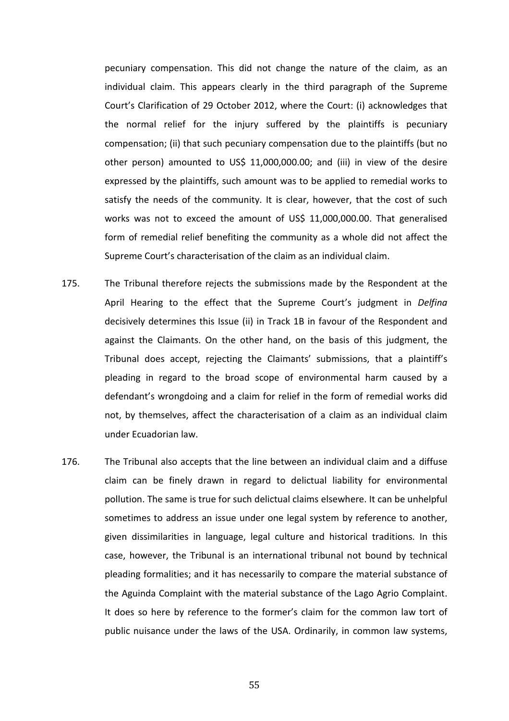pecuniary compensation. This did not change the nature of the claim, as an individual claim. This appears clearly in the third paragraph of the Supreme Court's Clarification of 29 October 2012, where the Court: (i) acknowledges that the normal relief for the injury suffered by the plaintiffs is pecuniary compensation; (ii) that such pecuniary compensation due to the plaintiffs (but no other person) amounted to US\$ 11,000,000.00; and (iii) in view of the desire expressed by the plaintiffs, such amount was to be applied to remedial works to satisfy the needs of the community. It is clear, however, that the cost of such works was not to exceed the amount of US\$ 11,000,000.00. That generalised form of remedial relief benefiting the community as a whole did not affect the Supreme Court's characterisation of the claim as an individual claim.

- 175. The Tribunal therefore rejects the submissions made by the Respondent at the April Hearing to the effect that the Supreme Court's judgment in *Delfina*  decisively determines this Issue (ii) in Track 1B in favour of the Respondent and against the Claimants. On the other hand, on the basis of this judgment, the Tribunal does accept, rejecting the Claimants' submissions, that a plaintiff's pleading in regard to the broad scope of environmental harm caused by a defendant's wrongdoing and a claim for relief in the form of remedial works did not, by themselves, affect the characterisation of a claim as an individual claim under Ecuadorian law.
- 176. The Tribunal also accepts that the line between an individual claim and a diffuse claim can be finely drawn in regard to delictual liability for environmental pollution. The same is true for such delictual claims elsewhere. It can be unhelpful sometimes to address an issue under one legal system by reference to another, given dissimilarities in language, legal culture and historical traditions. In this case, however, the Tribunal is an international tribunal not bound by technical pleading formalities; and it has necessarily to compare the material substance of the Aguinda Complaint with the material substance of the Lago Agrio Complaint. It does so here by reference to the former's claim for the common law tort of public nuisance under the laws of the USA. Ordinarily, in common law systems,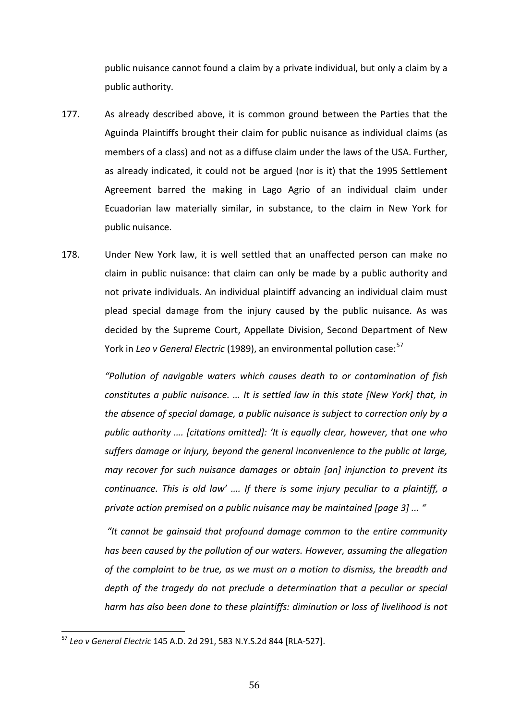public nuisance cannot found a claim by a private individual, but only a claim by a public authority.

- 177. As already described above, it is common ground between the Parties that the Aguinda Plaintiffs brought their claim for public nuisance as individual claims (as members of a class) and not as a diffuse claim under the laws of the USA. Further, as already indicated, it could not be argued (nor is it) that the 1995 Settlement Agreement barred the making in Lago Agrio of an individual claim under Ecuadorian law materially similar, in substance, to the claim in New York for public nuisance.
- 178. Under New York law, it is well settled that an unaffected person can make no claim in public nuisance: that claim can only be made by a public authority and not private individuals. An individual plaintiff advancing an individual claim must plead special damage from the injury caused by the public nuisance. As was decided by the Supreme Court, Appellate Division, Second Department of New York in *Leo v General Electric* (1989), an environmental pollution case: 57

*"Pollution of navigable waters which causes death to or contamination of fish constitutes a public nuisance. … It is settled law in this state [New York] that, in the absence of special damage, a public nuisance is subject to correction only by a public authority …. [citations omitted]: 'It is equally clear, however, that one who suffers damage or injury, beyond the general inconvenience to the public at large, may recover for such nuisance damages or obtain [an] injunction to prevent its continuance. This is old law' …. If there is some injury peculiar to a plaintiff, a private action premised on a public nuisance may be maintained [page 3] ... "*

*"It cannot be gainsaid that profound damage common to the entire community has been caused by the pollution of our waters. However, assuming the allegation of the complaint to be true, as we must on a motion to dismiss, the breadth and depth of the tragedy do not preclude a determination that a peculiar or special harm has also been done to these plaintiffs: diminution or loss of livelihood is not* 

<sup>57</sup> *Leo v General Electric* 145 A.D. 2d 291, 583 N.Y.S.2d 844 [RLA-527]. l<br>F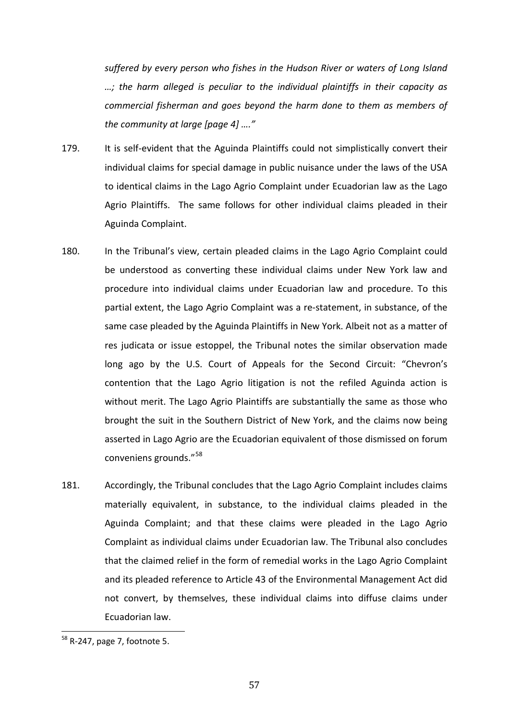*suffered by every person who fishes in the Hudson River or waters of Long Island …; the harm alleged is peculiar to the individual plaintiffs in their capacity as commercial fisherman and goes beyond the harm done to them as members of the community at large [page 4] …."*

- 179. It is self-evident that the Aguinda Plaintiffs could not simplistically convert their individual claims for special damage in public nuisance under the laws of the USA to identical claims in the Lago Agrio Complaint under Ecuadorian law as the Lago Agrio Plaintiffs. The same follows for other individual claims pleaded in their Aguinda Complaint.
- 180. In the Tribunal's view, certain pleaded claims in the Lago Agrio Complaint could be understood as converting these individual claims under New York law and procedure into individual claims under Ecuadorian law and procedure. To this partial extent, the Lago Agrio Complaint was a re-statement, in substance, of the same case pleaded by the Aguinda Plaintiffs in New York. Albeit not as a matter of res judicata or issue estoppel, the Tribunal notes the similar observation made long ago by the U.S. Court of Appeals for the Second Circuit: "Chevron's contention that the Lago Agrio litigation is not the refiled Aguinda action is without merit. The Lago Agrio Plaintiffs are substantially the same as those who brought the suit in the Southern District of New York, and the claims now being asserted in Lago Agrio are the Ecuadorian equivalent of those dismissed on forum conveniens grounds."<sup>58</sup>
- 181. Accordingly, the Tribunal concludes that the Lago Agrio Complaint includes claims materially equivalent, in substance, to the individual claims pleaded in the Aguinda Complaint; and that these claims were pleaded in the Lago Agrio Complaint as individual claims under Ecuadorian law. The Tribunal also concludes that the claimed relief in the form of remedial works in the Lago Agrio Complaint and its pleaded reference to Article 43 of the Environmental Management Act did not convert, by themselves, these individual claims into diffuse claims under Ecuadorian law.

<sup>&</sup>lt;sup>58</sup> R-247, page 7, footnote 5. l<br>F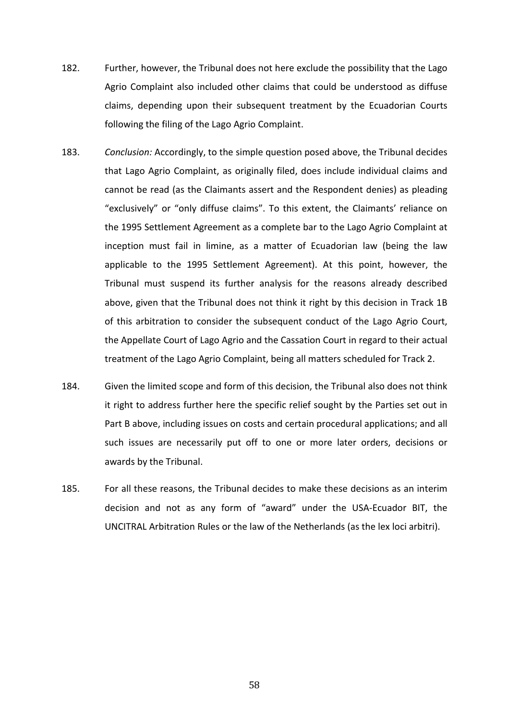- 182. Further, however, the Tribunal does not here exclude the possibility that the Lago Agrio Complaint also included other claims that could be understood as diffuse claims, depending upon their subsequent treatment by the Ecuadorian Courts following the filing of the Lago Agrio Complaint.
- 183. *Conclusion:* Accordingly, to the simple question posed above, the Tribunal decides that Lago Agrio Complaint, as originally filed, does include individual claims and cannot be read (as the Claimants assert and the Respondent denies) as pleading "exclusively" or "only diffuse claims". To this extent, the Claimants' reliance on the 1995 Settlement Agreement as a complete bar to the Lago Agrio Complaint at inception must fail in limine, as a matter of Ecuadorian law (being the law applicable to the 1995 Settlement Agreement). At this point, however, the Tribunal must suspend its further analysis for the reasons already described above, given that the Tribunal does not think it right by this decision in Track 1B of this arbitration to consider the subsequent conduct of the Lago Agrio Court, the Appellate Court of Lago Agrio and the Cassation Court in regard to their actual treatment of the Lago Agrio Complaint, being all matters scheduled for Track 2.
- 184. Given the limited scope and form of this decision, the Tribunal also does not think it right to address further here the specific relief sought by the Parties set out in Part B above, including issues on costs and certain procedural applications; and all such issues are necessarily put off to one or more later orders, decisions or awards by the Tribunal.
- 185. For all these reasons, the Tribunal decides to make these decisions as an interim decision and not as any form of "award" under the USA-Ecuador BIT, the UNCITRAL Arbitration Rules or the law of the Netherlands (as the lex loci arbitri).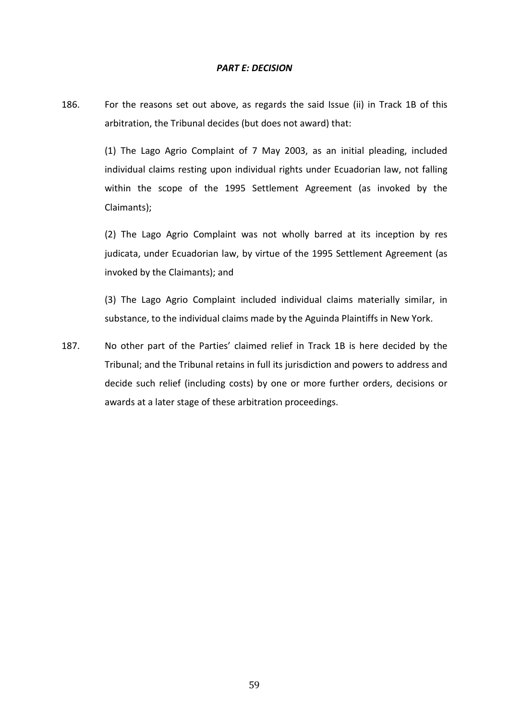### *PART E: DECISION*

186. For the reasons set out above, as regards the said Issue (ii) in Track 1B of this arbitration, the Tribunal decides (but does not award) that:

> (1) The Lago Agrio Complaint of 7 May 2003, as an initial pleading, included individual claims resting upon individual rights under Ecuadorian law, not falling within the scope of the 1995 Settlement Agreement (as invoked by the Claimants);

> (2) The Lago Agrio Complaint was not wholly barred at its inception by res judicata, under Ecuadorian law, by virtue of the 1995 Settlement Agreement (as invoked by the Claimants); and

> (3) The Lago Agrio Complaint included individual claims materially similar, in substance, to the individual claims made by the Aguinda Plaintiffs in New York.

187. No other part of the Parties' claimed relief in Track 1B is here decided by the Tribunal; and the Tribunal retains in full its jurisdiction and powers to address and decide such relief (including costs) by one or more further orders, decisions or awards at a later stage of these arbitration proceedings.